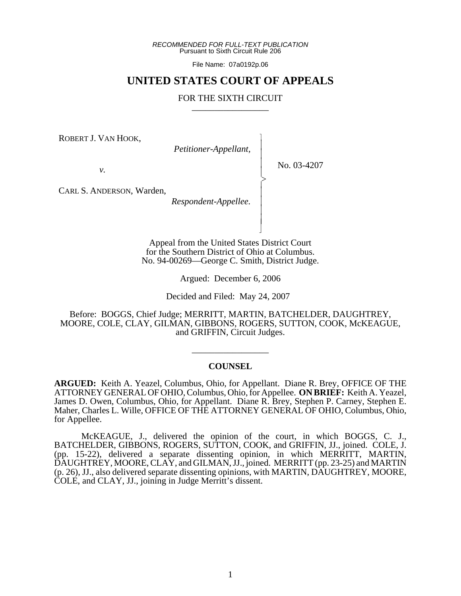*RECOMMENDED FOR FULL-TEXT PUBLICATION* Pursuant to Sixth Circuit Rule 206

File Name: 07a0192p.06

# **UNITED STATES COURT OF APPEALS**

# FOR THE SIXTH CIRCUIT

 $\overline{\phantom{a}}$ - - - -  $\succ$ |<br>|<br>| - - - - N

ROBERT J. VAN HOOK,

*Petitioner-Appellant,*

No. 03-4207

*v.*

CARL S. ANDERSON, Warden,

*Respondent-Appellee.*

Appeal from the United States District Court for the Southern District of Ohio at Columbus. No. 94-00269—George C. Smith, District Judge.

Argued: December 6, 2006

Decided and Filed: May 24, 2007

Before: BOGGS, Chief Judge; MERRITT, MARTIN, BATCHELDER, DAUGHTREY, MOORE, COLE, CLAY, GILMAN, GIBBONS, ROGERS, SUTTON, COOK, McKEAGUE, and GRIFFIN, Circuit Judges.

# **COUNSEL**

\_\_\_\_\_\_\_\_\_\_\_\_\_\_\_\_\_

**ARGUED:** Keith A. Yeazel, Columbus, Ohio, for Appellant. Diane R. Brey, OFFICE OF THE ATTORNEY GENERAL OF OHIO, Columbus, Ohio, for Appellee. **ON BRIEF:** Keith A. Yeazel, James D. Owen, Columbus, Ohio, for Appellant. Diane R. Brey, Stephen P. Carney, Stephen E. Maher, Charles L. Wille, OFFICE OF THE ATTORNEY GENERAL OF OHIO, Columbus, Ohio, for Appellee.

McKEAGUE, J., delivered the opinion of the court, in which BOGGS, C. J., BATCHELDER, GIBBONS, ROGERS, SUTTON, COOK, and GRIFFIN, JJ., joined. COLE, J. (pp. 15-22), delivered a separate dissenting opinion, in which MERRITT, MARTIN, DAUGHTREY, MOORE, CLAY, and GILMAN, JJ., joined. MERRITT (pp. 23-25) and MARTIN (p. 26), JJ., also delivered separate dissenting opinions, with MARTIN, DAUGHTREY, MOORE, COLE, and CLAY, JJ., joining in Judge Merritt's dissent.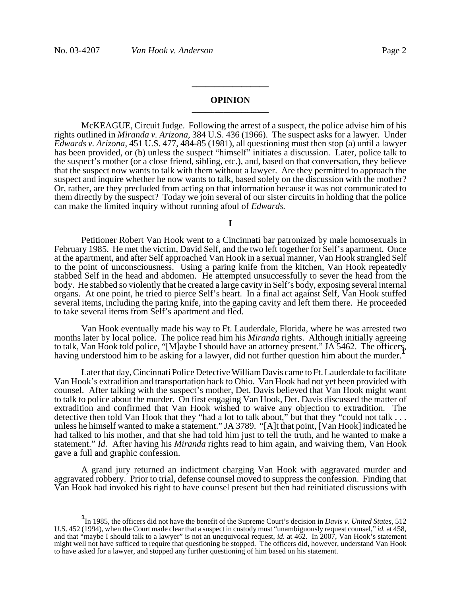### **OPINION \_\_\_\_\_\_\_\_\_\_\_\_\_\_\_\_\_**

**\_\_\_\_\_\_\_\_\_\_\_\_\_\_\_\_\_**

McKEAGUE, Circuit Judge. Following the arrest of a suspect, the police advise him of his rights outlined in *Miranda v. Arizona*, 384 U.S. 436 (1966). The suspect asks for a lawyer. Under *Edwards v. Arizona*, 451 U.S. 477, 484-85 (1981), all questioning must then stop (a) until a lawyer has been provided, or (b) unless the suspect "himself" initiates a discussion. Later, police talk to the suspect's mother (or a close friend, sibling, etc.), and, based on that conversation, they believe that the suspect now wants to talk with them without a lawyer. Are they permitted to approach the suspect and inquire whether he now wants to talk, based solely on the discussion with the mother? Or, rather, are they precluded from acting on that information because it was not communicated to them directly by the suspect? Today we join several of our sister circuits in holding that the police can make the limited inquiry without running afoul of *Edwards.*

**I**

Petitioner Robert Van Hook went to a Cincinnati bar patronized by male homosexuals in February 1985. He met the victim, David Self, and the two left together for Self's apartment. Once at the apartment, and after Self approached Van Hook in a sexual manner, Van Hook strangled Self to the point of unconsciousness. Using a paring knife from the kitchen, Van Hook repeatedly stabbed Self in the head and abdomen. He attempted unsuccessfully to sever the head from the body. He stabbed so violently that he created a large cavity in Self's body, exposing several internal organs. At one point, he tried to pierce Self's heart. In a final act against Self, Van Hook stuffed several items, including the paring knife, into the gaping cavity and left them there. He proceeded to take several items from Self's apartment and fled.

Van Hook eventually made his way to Ft. Lauderdale, Florida, where he was arrested two months later by local police. The police read him his *Miranda* rights. Although initially agreeing to talk, Van Hook told police, "[M]aybe I should have an attorney present." JA 5462. The officers, having understood him to be asking for a lawyer, did not further question him about the murder.**<sup>1</sup>**

Later that day, Cincinnati Police Detective William Davis came to Ft. Lauderdale to facilitate Van Hook's extradition and transportation back to Ohio. Van Hook had not yet been provided with counsel. After talking with the suspect's mother, Det. Davis believed that Van Hook might want to talk to police about the murder. On first engaging Van Hook, Det. Davis discussed the matter of extradition and confirmed that Van Hook wished to waive any objection to extradition. The detective then told Van Hook that they "had a lot to talk about," but that they "could not talk . . . unless he himself wanted to make a statement." JA 3789. "[A]t that point, [Van Hook] indicated he had talked to his mother, and that she had told him just to tell the truth, and he wanted to make a statement." *Id.* After having his *Miranda* rights read to him again, and waiving them, Van Hook gave a full and graphic confession.

A grand jury returned an indictment charging Van Hook with aggravated murder and aggravated robbery. Prior to trial, defense counsel moved to suppress the confession. Finding that Van Hook had invoked his right to have counsel present but then had reinitiated discussions with

**<sup>1</sup>** In 1985, the officers did not have the benefit of the Supreme Court's decision in *Davis v. United States*, 512 U.S. 452 (1994), when the Court made clear that a suspect in custody must "unambiguously request counsel," *id.* at 458, and that "maybe I should talk to a lawyer" is not an unequivocal request, *id.* at 462. In 2007, Van Hook's statement might well not have sufficed to require that questioning be stopped. The officers did, however, understand Van Hook to have asked for a lawyer, and stopped any further questioning of him based on his statement.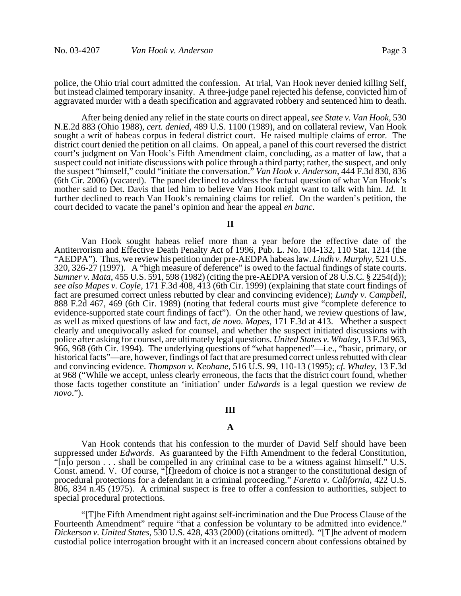police, the Ohio trial court admitted the confession. At trial, Van Hook never denied killing Self, but instead claimed temporary insanity. A three-judge panel rejected his defense, convicted him of aggravated murder with a death specification and aggravated robbery and sentenced him to death.

After being denied any relief in the state courts on direct appeal, *see State v. Van Hook*, 530 N.E.2d 883 (Ohio 1988), *cert. denied*, 489 U.S. 1100 (1989), and on collateral review, Van Hook sought a writ of habeas corpus in federal district court. He raised multiple claims of error. The district court denied the petition on all claims. On appeal, a panel of this court reversed the district court's judgment on Van Hook's Fifth Amendment claim, concluding, as a matter of law, that a suspect could not initiate discussions with police through a third party; rather, the suspect, and only the suspect "himself," could "initiate the conversation." *Van Hook v. Anderson*, 444 F.3d 830, 836 (6th Cir. 2006) (vacated). The panel declined to address the factual question of what Van Hook's mother said to Det. Davis that led him to believe Van Hook might want to talk with him. *Id.* It further declined to reach Van Hook's remaining claims for relief. On the warden's petition, the court decided to vacate the panel's opinion and hear the appeal *en banc*.

**II**

Van Hook sought habeas relief more than a year before the effective date of the Antiterrorism and Effective Death Penalty Act of 1996, Pub. L. No. 104-132, 110 Stat. 1214 (the "AEDPA"). Thus, we review his petition under pre-AEDPA habeas law. *Lindh v. Murphy*, 521 U.S. 320, 326-27 (1997). A "high measure of deference" is owed to the factual findings of state courts. *Sumner v. Mata*, 455 U.S. 591, 598 (1982) (citing the pre-AEDPA version of 28 U.S.C. § 2254(d)); *see also Mapes v. Coyle*, 171 F.3d 408, 413 (6th Cir. 1999) (explaining that state court findings of fact are presumed correct unless rebutted by clear and convincing evidence); *Lundy v. Campbell*, 888 F.2d 467, 469 (6th Cir. 1989) (noting that federal courts must give "complete deference to evidence-supported state court findings of fact"). On the other hand, we review questions of law, as well as mixed questions of law and fact, *de novo*. *Mapes*, 171 F.3d at 413. Whether a suspect clearly and unequivocally asked for counsel, and whether the suspect initiated discussions with police after asking for counsel, are ultimately legal questions. *United States v. Whaley*, 13 F.3d 963, 966, 968 (6th Cir. 1994). The underlying questions of "what happened"—i.e., "basic, primary, or historical facts"—are, however, findings of fact that are presumed correct unless rebutted with clear and convincing evidence. *Thompson v. Keohane*, 516 U.S. 99, 110-13 (1995); *cf. Whaley*, 13 F.3d at 968 ("While we accept, unless clearly erroneous, the facts that the district court found, whether those facts together constitute an 'initiation' under *Edwards* is a legal question we review *de novo*.").

# **III**

### **A**

Van Hook contends that his confession to the murder of David Self should have been suppressed under *Edwards*. As guaranteed by the Fifth Amendment to the federal Constitution, "[n]o person . . . shall be compelled in any criminal case to be a witness against himself." U.S. Const. amend. V. Of course, "[f]reedom of choice is not a stranger to the constitutional design of procedural protections for a defendant in a criminal proceeding." *Faretta v. California*, 422 U.S. 806, 834 n.45 (1975). A criminal suspect is free to offer a confession to authorities, subject to special procedural protections.

"[T]he Fifth Amendment right against self-incrimination and the Due Process Clause of the Fourteenth Amendment" require "that a confession be voluntary to be admitted into evidence." *Dickerson v. United States*, 530 U.S. 428, 433 (2000) (citations omitted). "[T]he advent of modern custodial police interrogation brought with it an increased concern about confessions obtained by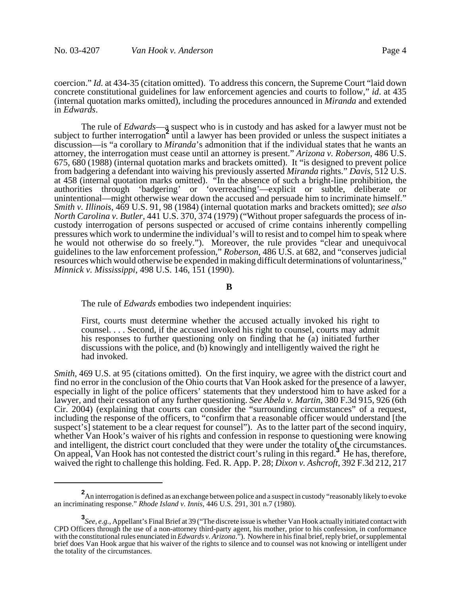coercion." *Id.* at 434-35 (citation omitted). To address this concern, the Supreme Court "laid down concrete constitutional guidelines for law enforcement agencies and courts to follow," *id*. at 435 (internal quotation marks omitted), including the procedures announced in *Miranda* and extended in *Edwards*.

The rule of *Edwards*—a suspect who is in custody and has asked for a lawyer must not be subject to further interrogation<sup>2</sup> until a lawyer has been provided or unless the suspect initiates a discussion—is "a corollary to *Miranda*'s admonition that if the individual states that he wants an attorney, the interrogation must cease until an attorney is present." *Arizona v. Roberson*, 486 U.S. 675, 680 (1988) (internal quotation marks and brackets omitted). It "is designed to prevent police from badgering a defendant into waiving his previously asserted *Miranda* rights." *Davis*, 512 U.S. at 458 (internal quotation marks omitted). "In the absence of such a bright-line prohibition, the authorities through 'badgering' or 'overreaching'—explicit or subtle, deliberate or unintentional—might otherwise wear down the accused and persuade him to incriminate himself." *Smith v. Illinois*, 469 U.S. 91, 98 (1984) (internal quotation marks and brackets omitted); *see also North Carolina v. Butler*, 441 U.S. 370, 374 (1979) ("Without proper safeguards the process of incustody interrogation of persons suspected or accused of crime contains inherently compelling pressures which work to undermine the individual's will to resist and to compel him to speak where he would not otherwise do so freely."). Moreover, the rule provides "clear and unequivocal guidelines to the law enforcement profession," *Roberson*, 486 U.S. at 682, and "conserves judicial resources which would otherwise be expended in making difficult determinations of voluntariness," *Minnick v. Mississippi*, 498 U.S. 146, 151 (1990).

#### **B**

The rule of *Edwards* embodies two independent inquiries:

First, courts must determine whether the accused actually invoked his right to counsel. . . . Second, if the accused invoked his right to counsel, courts may admit his responses to further questioning only on finding that he (a) initiated further discussions with the police, and (b) knowingly and intelligently waived the right he had invoked.

*Smith*, 469 U.S. at 95 (citations omitted). On the first inquiry, we agree with the district court and find no error in the conclusion of the Ohio courts that Van Hook asked for the presence of a lawyer, especially in light of the police officers' statements that they understood him to have asked for a lawyer, and their cessation of any further questioning. *See Abela v. Martin*, 380 F.3d 915, 926 (6th Cir. 2004) (explaining that courts can consider the "surrounding circumstances" of a request, including the response of the officers, to "confirm that a reasonable officer would understand [the suspect's] statement to be a clear request for counsel"). As to the latter part of the second inquiry, whether Van Hook's waiver of his rights and confession in response to questioning were knowing and intelligent, the district court concluded that they were under the totality of the circumstances. On appeal, Van Hook has not contested the district court's ruling in this regard.**<sup>3</sup>** He has, therefore, waived the right to challenge this holding. Fed. R. App. P. 28; *Dixon v. Ashcroft*, 392 F.3d 212, 217

**<sup>2</sup>** An interrogation is defined as an exchange between police and a suspect in custody "reasonably likely to evoke an incriminating response." *Rhode Island v. Innis*, 446 U.S. 291, 301 n.7 (1980).

**<sup>3</sup>** *See, e.g.*, Appellant's Final Brief at 39 ("The discrete issue is whether Van Hook actually initiated contact with CPD Officers through the use of a non-attorney third-party agent, his mother, prior to his confession, in conformance with the constitutional rules enunciated in *Edwards v. Arizona*."). Nowhere in his final brief, reply brief, or supplemental brief does Van Hook argue that his waiver of the rights to silence and to counsel was not knowing or intelligent under the totality of the circumstances.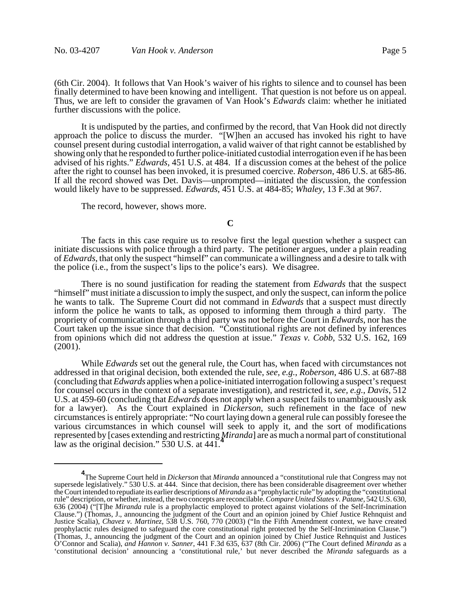(6th Cir. 2004). It follows that Van Hook's waiver of his rights to silence and to counsel has been finally determined to have been knowing and intelligent. That question is not before us on appeal. Thus, we are left to consider the gravamen of Van Hook's *Edwards* claim: whether he initiated further discussions with the police.

It is undisputed by the parties, and confirmed by the record, that Van Hook did not directly approach the police to discuss the murder. "[W]hen an accused has invoked his right to have counsel present during custodial interrogation, a valid waiver of that right cannot be established by showing only that he responded to further police-initiated custodial interrogation even if he has been advised of his rights." *Edwards*, 451 U.S. at 484. If a discussion comes at the behest of the police after the right to counsel has been invoked, it is presumed coercive. *Roberson*, 486 U.S. at 685-86. If all the record showed was Det. Davis—unprompted—initiated the discussion, the confession would likely have to be suppressed. *Edwards*, 451 U.S. at 484-85; *Whaley*, 13 F.3d at 967.

The record, however, shows more.

### **C**

The facts in this case require us to resolve first the legal question whether a suspect can initiate discussions with police through a third party. The petitioner argues, under a plain reading of *Edwards*, that only the suspect "himself" can communicate a willingness and a desire to talk with the police (i.e., from the suspect's lips to the police's ears). We disagree.

There is no sound justification for reading the statement from *Edwards* that the suspect "himself" must initiate a discussion to imply the suspect, and only the suspect, can inform the police he wants to talk. The Supreme Court did not command in *Edwards* that a suspect must directly inform the police he wants to talk, as opposed to informing them through a third party. The propriety of communication through a third party was not before the Court in *Edwards*, nor has the Court taken up the issue since that decision. "Constitutional rights are not defined by inferences from opinions which did not address the question at issue." *Texas v. Cobb*, 532 U.S. 162, 169 (2001).

While *Edwards* set out the general rule, the Court has, when faced with circumstances not addressed in that original decision, both extended the rule, *see, e.g.*, *Roberson*, 486 U.S. at 687-88 (concluding that *Edwards* applies when a police-initiated interrogation following a suspect's request for counsel occurs in the context of a separate investigation), and restricted it, *see, e.g.*, *Davis*, 512 U.S. at 459-60 (concluding that *Edwards* does not apply when a suspect fails to unambiguously ask for a lawyer). As the Court explained in *Dickerson*, such refinement in the face of new circumstances is entirely appropriate: "No court laying down a general rule can possibly foresee the various circumstances in which counsel will seek to apply it, and the sort of modifications represented by [cases extending and restricting *Miranda*] are as much a normal part of constitutional law as the original decision." 530 U.S. at 441.

**<sup>4</sup>** The Supreme Court held in *Dickerson* that *Miranda* announced a "constitutional rule that Congress may not supersede legislatively." 530 U.S. at 444. Since that decision, there has been considerable disagreement over whether the Court intended to repudiate its earlier descriptions of *Miranda* as a "prophylactic rule" by adopting the "constitutional rule" description, or whether, instead, the two concepts are reconcilable. *Compare United States v. Patane*, 542 U.S. 630, 636 (2004) ("[T]he *Miranda* rule is a prophylactic employed to protect against violations of the Self-Incrimination Clause.") (Thomas, J., announcing the judgment of the Court and an opinion joined by Chief Justice Rehnquist and Justice Scalia), *Chavez v. Martinez*, 538 U.S. 760, 770 (2003) ("In the Fifth Amendment context, we have created prophylactic rules designed to safeguard the core constitutional right protected by the Self-Incrimination Clause.") (Thomas, J., announcing the judgment of the Court and an opinion joined by Chief Justice Rehnquist and Justices O'Connor and Scalia), *and Hannon v. Sanner*, 441 F.3d 635, 637 (8th Cir. 2006) ("The Court defined *Miranda* as a 'constitutional decision' announcing a 'constitutional rule,' but never described the *Miranda* safeguards as a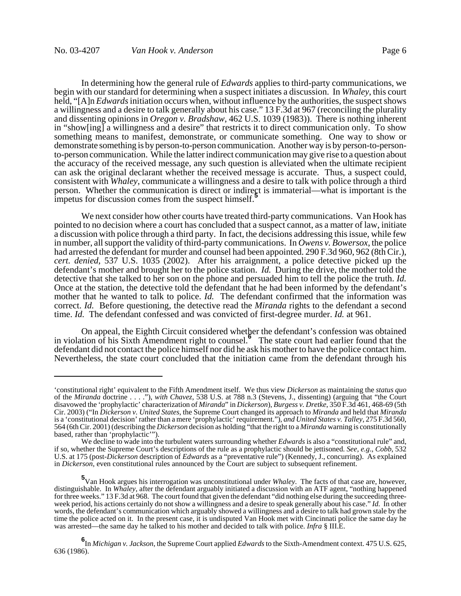In determining how the general rule of *Edwards* applies to third-party communications, we begin with our standard for determining when a suspect initiates a discussion. In *Whaley*, this court held, "[A]n *Edwards* initiation occurs when, without influence by the authorities, the suspect shows a willingness and a desire to talk generally about his case." 13 F.3d at 967 (reconciling the plurality and dissenting opinions in *Oregon v. Bradshaw*, 462 U.S. 1039 (1983)). There is nothing inherent in "show[ing] a willingness and a desire" that restricts it to direct communication only. To show something means to manifest, demonstrate, or communicate something. One way to show or demonstrate something is by person-to-person communication. Another way is by person-to-personto-person communication. While the latter indirect communication may give rise to a question about the accuracy of the received message, any such question is alleviated when the ultimate recipient can ask the original declarant whether the received message is accurate. Thus, a suspect could, consistent with *Whaley*, communicate a willingness and a desire to talk with police through a third person. Whether the communication is direct or indirect is immaterial—what is important is the impetus for discussion comes from the suspect himself.**<sup>5</sup>**

We next consider how other courts have treated third-party communications. Van Hook has pointed to no decision where a court has concluded that a suspect cannot, as a matter of law, initiate a discussion with police through a third party. In fact, the decisions addressing this issue, while few in number, all support the validity of third-party communications. In *Owens v. Bowersox*, the police had arrested the defendant for murder and counsel had been appointed. 290 F.3d 960, 962 (8th Cir.), *cert. denied*, 537 U.S. 1035 (2002). After his arraignment, a police detective picked up the defendant's mother and brought her to the police station. *Id.* During the drive, the mother told the detective that she talked to her son on the phone and persuaded him to tell the police the truth. *Id.* Once at the station, the detective told the defendant that he had been informed by the defendant's mother that he wanted to talk to police. *Id.* The defendant confirmed that the information was correct. *Id.* Before questioning, the detective read the *Miranda* rights to the defendant a second time. *Id.* The defendant confessed and was convicted of first-degree murder. *Id.* at 961.

On appeal, the Eighth Circuit considered whether the defendant's confession was obtained in violation of his Sixth Amendment right to counsel.**<sup>6</sup>** The state court had earlier found that the defendant did not contact the police himself nor did he ask his mother to have the police contact him. Nevertheless, the state court concluded that the initiation came from the defendant through his

<sup>&#</sup>x27;constitutional right' equivalent to the Fifth Amendment itself. We thus view *Dickerson* as maintaining the *status quo* of the *Miranda* doctrine . . . ."), *with Chavez*, 538 U.S. at 788 n.3 (Stevens, J., dissenting) (arguing that "the Court disavowed the 'prophylactic' characterization of *Miranda*" in *Dickerson*), *Burgess v. Dretke*, 350 F.3d 461, 468-69 (5th Cir. 2003) ("In *Dickerson v. United States*, the Supreme Court changed its approach to *Miranda* and held that *Miranda* is a 'constitutional decision' rather than a mere 'prophylactic' requirement."), *and United States v. Talley*, 275 F.3d 560, 564 (6th Cir. 2001) (describing the *Dickerson* decision as holding "that the right to a *Miranda* warning is constitutionally based, rather than 'prophylactic'").

We decline to wade into the turbulent waters surrounding whether *Edwards* is also a "constitutional rule" and, if so, whether the Supreme Court's descriptions of the rule as a prophylactic should be jettisoned. *See, e.g*., *Cobb*, 532 U.S. at 175 (post-*Dickerson* description of *Edwards* as a "preventative rule") (Kennedy, J., concurring). As explained in *Dickerson*, even constitutional rules announced by the Court are subject to subsequent refinement.

**<sup>5</sup>** Van Hook argues his interrogation was unconstitutional under *Whaley*. The facts of that case are, however, distinguishable. In *Whaley*, after the defendant arguably initiated a discussion with an ATF agent, "nothing happened for three weeks." 13 F.3d at 968. The court found that given the defendant "did nothing else during the succeeding threeweek period, his actions certainly do not show a willingness and a desire to speak generally about his case." *Id.* In other words, the defendant's communication which arguably showed a willingness and a desire to talk had grown stale by the time the police acted on it. In the present case, it is undisputed Van Hook met with Cincinnati police the same day he was arrested—the same day he talked to his mother and decided to talk with police. *Infra* § III.E.

**<sup>6</sup>** In *Michigan v. Jackson*, the Supreme Court applied *Edwards* to the Sixth-Amendment context. 475 U.S. 625, 636 (1986).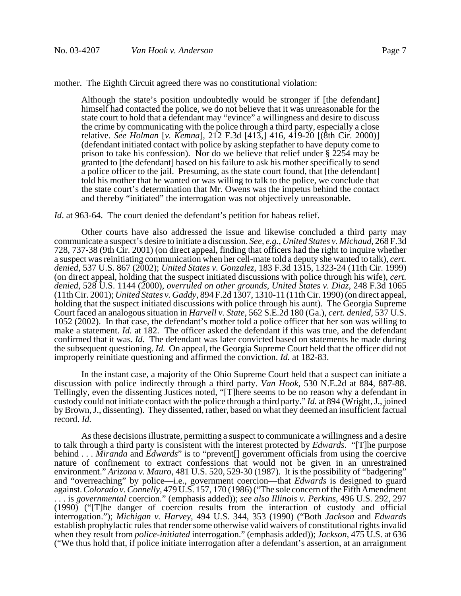mother. The Eighth Circuit agreed there was no constitutional violation:

Although the state's position undoubtedly would be stronger if [the defendant] himself had contacted the police, we do not believe that it was unreasonable for the state court to hold that a defendant may "evince" a willingness and desire to discuss the crime by communicating with the police through a third party, especially a close relative. *See Holman* [*v. Kemna*], 212 F.3d [413,] 416, 419-20 [(8th Cir. 2000)] (defendant initiated contact with police by asking stepfather to have deputy come to prison to take his confession). Nor do we believe that relief under  $\S$  2254 may be granted to [the defendant] based on his failure to ask his mother specifically to send a police officer to the jail. Presuming, as the state court found, that [the defendant] told his mother that he wanted or was willing to talk to the police, we conclude that the state court's determination that Mr. Owens was the impetus behind the contact and thereby "initiated" the interrogation was not objectively unreasonable.

*Id.* at 963-64. The court denied the defendant's petition for habeas relief.

Other courts have also addressed the issue and likewise concluded a third party may communicate a suspect's desire to initiate a discussion. *See, e.g.*, *United States v. Michaud*, 268 F.3d 728, 737-38 (9th Cir. 2001) (on direct appeal, finding that officers had the right to inquire whether a suspect was reinitiating communication when her cell-mate told a deputy she wanted to talk), *cert. denied*, 537 U.S. 867 (2002); *United States v. Gonzalez*, 183 F.3d 1315, 1323-24 (11th Cir. 1999) (on direct appeal, holding that the suspect initiated discussions with police through his wife), *cert. denied*, 528 U.S. 1144 (2000), *overruled on other grounds*, *United States v. Diaz*, 248 F.3d 1065 (11th Cir. 2001); *United States v. Gaddy*, 894 F.2d 1307, 1310-11 (11th Cir. 1990) (on direct appeal, holding that the suspect initiated discussions with police through his aunt). The Georgia Supreme Court faced an analogous situation in *Harvell v. State*, 562 S.E.2d 180 (Ga.), *cert. denied*, 537 U.S. 1052 (2002). In that case, the defendant's mother told a police officer that her son was willing to make a statement. *Id.* at 182. The officer asked the defendant if this was true, and the defendant confirmed that it was. *Id.* The defendant was later convicted based on statements he made during the subsequent questioning. *Id.* On appeal, the Georgia Supreme Court held that the officer did not improperly reinitiate questioning and affirmed the conviction. *Id.* at 182-83.

In the instant case, a majority of the Ohio Supreme Court held that a suspect can initiate a discussion with police indirectly through a third party. *Van Hook*, 530 N.E.2d at 884, 887-88. Tellingly, even the dissenting Justices noted, "[T]here seems to be no reason why a defendant in custody could not initiate contact with the police through a third party." *Id.* at 894 (Wright, J., joined by Brown, J., dissenting). They dissented, rather, based on what they deemed an insufficient factual record. *Id.*

As these decisions illustrate, permitting a suspect to communicate a willingness and a desire to talk through a third party is consistent with the interest protected by *Edwards*. "[T]he purpose behind . . . *Miranda* and *Edwards*" is to "prevent[] government officials from using the coercive nature of confinement to extract confessions that would not be given in an unrestrained environment." *Arizona v. Mauro*, 481 U.S. 520, 529-30 (1987). It is the possibility of "badgering" and "overreaching" by police—i.e., government coercion—that *Edwards* is designed to guard against. *Colorado v. Connelly*, 479 U.S. 157, 170 (1986) ("The sole concern of the Fifth Amendment . . . is *governmental* coercion." (emphasis added)); *see also Illinois v. Perkins*, 496 U.S. 292, 297 (1990) ("[T]he danger of coercion results from the interaction of custody and official interrogation."); *Michigan v. Harvey*, 494 U.S. 344, 353 (1990) ("Both *Jackson* and *Edwards* establish prophylactic rules that render some otherwise valid waivers of constitutional rights invalid when they result from *police-initiated* interrogation." (emphasis added)); *Jackson*, 475 U.S. at 636 ("We thus hold that, if police initiate interrogation after a defendant's assertion, at an arraignment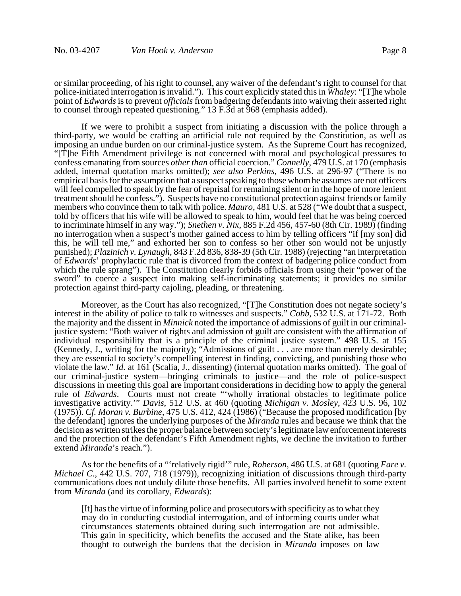or similar proceeding, of his right to counsel, any waiver of the defendant's right to counsel for that police-initiated interrogation is invalid."). This court explicitly stated this in *Whaley*: "[T]he whole point of *Edwards* is to prevent *officials* from badgering defendants into waiving their asserted right to counsel through repeated questioning." 13 F.3d at 968 (emphasis added).

If we were to prohibit a suspect from initiating a discussion with the police through a third-party, we would be crafting an artificial rule not required by the Constitution, as well as imposing an undue burden on our criminal-justice system. As the Supreme Court has recognized, "[T]he Fifth Amendment privilege is not concerned with moral and psychological pressures to confess emanating from sources *other than* official coercion." *Connelly*, 479 U.S. at 170 (emphasis added, internal quotation marks omitted); *see also Perkins*, 496 U.S. at 296-97 ("There is no empirical basis for the assumption that a suspect speaking to those whom he assumes are not officers will feel compelled to speak by the fear of reprisal for remaining silent or in the hope of more lenient treatment should he confess."). Suspects have no constitutional protection against friends or family members who convince them to talk with police. *Mauro*, 481 U.S. at 528 ("We doubt that a suspect, told by officers that his wife will be allowed to speak to him, would feel that he was being coerced to incriminate himself in any way."); *Snethen v. Nix*, 885 F.2d 456, 457-60 (8th Cir. 1989) (finding no interrogation when a suspect's mother gained access to him by telling officers "if [my son] did this, he will tell me," and exhorted her son to confess so her other son would not be unjustly punished); *Plazinich v. Lynaugh*, 843 F.2d 836, 838-39 (5th Cir. 1988) (rejecting "an interpretation of *Edwards*' prophylactic rule that is divorced from the context of badgering police conduct from which the rule sprang"). The Constitution clearly forbids officials from using their "power of the sword" to coerce a suspect into making self-incriminating statements; it provides no similar protection against third-party cajoling, pleading, or threatening.

Moreover, as the Court has also recognized, "[T]he Constitution does not negate society's interest in the ability of police to talk to witnesses and suspects." *Cobb*, 532 U.S. at 171-72. Both the majority and the dissent in *Minnick* noted the importance of admissions of guilt in our criminaljustice system: "Both waiver of rights and admission of guilt are consistent with the affirmation of individual responsibility that is a principle of the criminal justice system." 498 U.S. at 155 (Kennedy, J., writing for the majority); "Admissions of guilt . . . are more than merely desirable; they are essential to society's compelling interest in finding, convicting, and punishing those who violate the law." *Id.* at 161 (Scalia, J., dissenting) (internal quotation marks omitted). The goal of our criminal-justice system—bringing criminals to justice—and the role of police-suspect discussions in meeting this goal are important considerations in deciding how to apply the general rule of *Edwards*. Courts must not create "'wholly irrational obstacles to legitimate police investigative activity.'" *Davis*, 512 U.S. at 460 (quoting *Michigan v. Mosley*, 423 U.S. 96, 102 (1975)). *Cf. Moran v. Burbine*, 475 U.S. 412, 424 (1986) ("Because the proposed modification [by the defendant] ignores the underlying purposes of the *Miranda* rules and because we think that the decision as written strikes the proper balance between society's legitimate law enforcement interests and the protection of the defendant's Fifth Amendment rights, we decline the invitation to further extend *Miranda*'s reach.").

As for the benefits of a "'relatively rigid'" rule, *Roberson*, 486 U.S. at 681 (quoting *Fare v. Michael C.*, 442 U.S. 707, 718 (1979)), recognizing initiation of discussions through third-party communications does not unduly dilute those benefits. All parties involved benefit to some extent from *Miranda* (and its corollary, *Edwards*):

[It] has the virtue of informing police and prosecutors with specificity as to what they may do in conducting custodial interrogation, and of informing courts under what circumstances statements obtained during such interrogation are not admissible. This gain in specificity, which benefits the accused and the State alike, has been thought to outweigh the burdens that the decision in *Miranda* imposes on law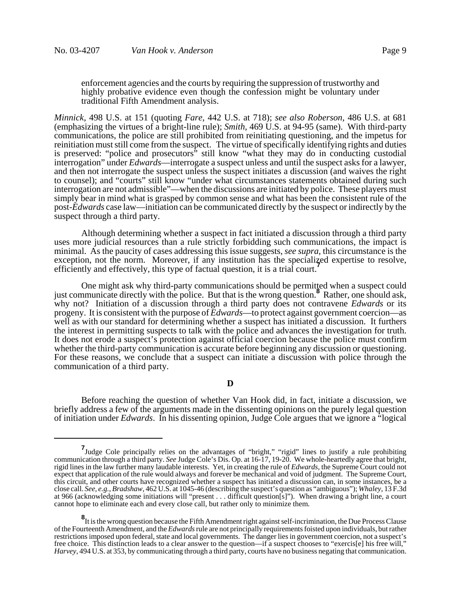enforcement agencies and the courts by requiring the suppression of trustworthy and highly probative evidence even though the confession might be voluntary under traditional Fifth Amendment analysis.

*Minnick*, 498 U.S. at 151 (quoting *Fare*, 442 U.S. at 718); *see also Roberson*, 486 U.S. at 681 (emphasizing the virtues of a bright-line rule); *Smith*, 469 U.S. at 94-95 (same). With third-party communications, the police are still prohibited from reinitiating questioning, and the impetus for reinitiation must still come from the suspect. The virtue of specifically identifying rights and duties is preserved: "police and prosecutors" still know "what they may do in conducting custodial interrogation" under *Edwards*—interrogate a suspect unless and until the suspect asks for a lawyer, and then not interrogate the suspect unless the suspect initiates a discussion (and waives the right to counsel); and "courts" still know "under what circumstances statements obtained during such interrogation are not admissible"—when the discussions are initiated by police. These players must simply bear in mind what is grasped by common sense and what has been the consistent rule of the post-*Edwards* case law—initiation can be communicated directly by the suspect or indirectly by the suspect through a third party.

Although determining whether a suspect in fact initiated a discussion through a third party uses more judicial resources than a rule strictly forbidding such communications, the impact is minimal. As the paucity of cases addressing this issue suggests, *see supra*, this circumstance is the exception, not the norm. Moreover, if any institution has the specialized expertise to resolve, efficiently and effectively, this type of factual question, it is a trial court.**<sup>7</sup>**

One might ask why third-party communications should be permitted when a suspect could just communicate directly with the police. But that is the wrong question.**<sup>8</sup>** Rather, one should ask, why not? Initiation of a discussion through a third party does not contravene *Edwards* or its progeny. It is consistent with the purpose of *Edwards*—to protect against government coercion—as well as with our standard for determining whether a suspect has initiated a discussion. It furthers the interest in permitting suspects to talk with the police and advances the investigation for truth. It does not erode a suspect's protection against official coercion because the police must confirm whether the third-party communication is accurate before beginning any discussion or questioning. For these reasons, we conclude that a suspect can initiate a discussion with police through the communication of a third party.

### **D**

Before reaching the question of whether Van Hook did, in fact, initiate a discussion, we briefly address a few of the arguments made in the dissenting opinions on the purely legal question of initiation under *Edwards*. In his dissenting opinion, Judge Cole argues that we ignore a "logical

**<sup>7</sup>**<br>
Judge Cole principally relies on the advantages of "bright," "rigid" lines to justify a rule prohibiting communication through a third party. *See* Judge Cole's Dis. Op. at 16-17, 19-20. We whole-heartedly agree that bright, rigid lines in the law further many laudable interests. Yet, in creating the rule of *Edwards*, the Supreme Court could not expect that application of the rule would always and forever be mechanical and void of judgment. The Supreme Court, this circuit, and other courts have recognized whether a suspect has initiated a discussion can, in some instances, be a close call. *See, e.g.*, *Bradshaw*, 462 U.S. at 1045-46 (describing the suspect's question as "ambiguous"); *Whaley*, 13 F.3d at 966 (acknowledging some initiations will "present . . . difficult question[s]"). When drawing a bright line, a court cannot hope to eliminate each and every close call, but rather only to minimize them.

**<sup>8</sup>** It is the wrong question because the Fifth Amendment right against self-incrimination, the Due Process Clause of the Fourteenth Amendment, and the *Edwards* rule are not principally requirements foisted upon individuals, but rather restrictions imposed upon federal, state and local governments. The danger lies in government coercion, not a suspect's free choice. This distinction leads to a clear answer to the question—if a suspect chooses to "exercis[e] his free will," *Harvey*, 494 U.S. at 353, by communicating through a third party, courts have no business negating that communication.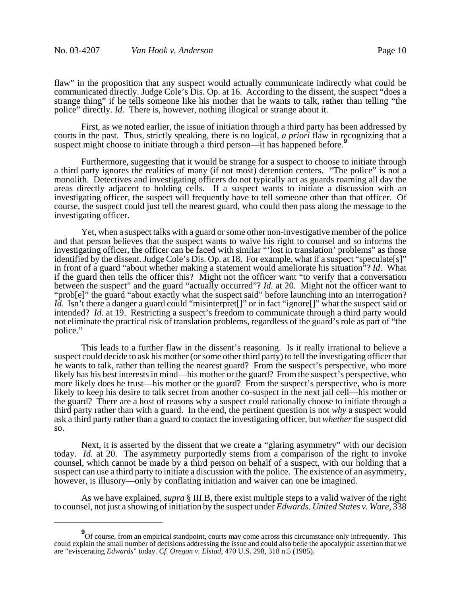flaw" in the proposition that any suspect would actually communicate indirectly what could be communicated directly. Judge Cole's Dis. Op. at 16. According to the dissent, the suspect "does a strange thing" if he tells someone like his mother that he wants to talk, rather than telling "the police" directly. *Id.* There is, however, nothing illogical or strange about it.

First, as we noted earlier, the issue of initiation through a third party has been addressed by courts in the past. Thus, strictly speaking, there is no logical, *a priori* flaw in recognizing that a suspect might choose to initiate through a third person—it has happened before.<sup>9</sup>

Furthermore, suggesting that it would be strange for a suspect to choose to initiate through a third party ignores the realities of many (if not most) detention centers. "The police" is not a monolith. Detectives and investigating officers do not typically act as guards roaming all day the areas directly adjacent to holding cells. If a suspect wants to initiate a discussion with an investigating officer, the suspect will frequently have to tell someone other than that officer. Of course, the suspect could just tell the nearest guard, who could then pass along the message to the investigating officer.

Yet, when a suspect talks with a guard or some other non-investigative member of the police and that person believes that the suspect wants to waive his right to counsel and so informs the investigating officer, the officer can be faced with similar "'lost in translation' problems" as those identified by the dissent. Judge Cole's Dis. Op. at 18. For example, what if a suspect "speculate[s]" in front of a guard "about whether making a statement would ameliorate his situation"? *Id*. What if the guard then tells the officer this? Might not the officer want "to verify that a conversation between the suspect" and the guard "actually occurred"? *Id.* at 20. Might not the officer want to "prob[e]" the guard "about exactly what the suspect said" before launching into an interrogation? *Id.* Isn't there a danger a guard could "misinterpret<sup>[]"</sup> or in fact "ignore<sup>[]"</sup> what the suspect said or intended? *Id.* at 19. Restricting a suspect's freedom to communicate through a third party would not eliminate the practical risk of translation problems, regardless of the guard's role as part of "the police."

This leads to a further flaw in the dissent's reasoning. Is it really irrational to believe a suspect could decide to ask his mother (or some other third party) to tell the investigating officer that he wants to talk, rather than telling the nearest guard? From the suspect's perspective, who more likely has his best interests in mind—his mother or the guard? From the suspect's perspective, who more likely does he trust—his mother or the guard? From the suspect's perspective, who is more likely to keep his desire to talk secret from another co-suspect in the next jail cell—his mother or the guard? There are a host of reasons why a suspect could rationally choose to initiate through a third party rather than with a guard. In the end, the pertinent question is not *why* a suspect would ask a third party rather than a guard to contact the investigating officer, but *whether* the suspect did so.

Next, it is asserted by the dissent that we create a "glaring asymmetry" with our decision today. *Id.* at 20. The asymmetry purportedly stems from a comparison of the right to invoke counsel, which cannot be made by a third person on behalf of a suspect, with our holding that a suspect can use a third party to initiate a discussion with the police. The existence of an asymmetry, however, is illusory—only by conflating initiation and waiver can one be imagined.

As we have explained, *supra* § III.B, there exist multiple steps to a valid waiver of the right to counsel, not just a showing of initiation by the suspect under *Edwards*. *United States v. Ware*, 338

**<sup>9</sup>** Of course, from an empirical standpoint, courts may come across this circumstance only infrequently. This could explain the small number of decisions addressing the issue and could also belie the apocalyptic assertion that we are "eviscerating *Edwards*" today. *Cf. Oregon v. Elstad*, 470 U.S. 298, 318 n.5 (1985).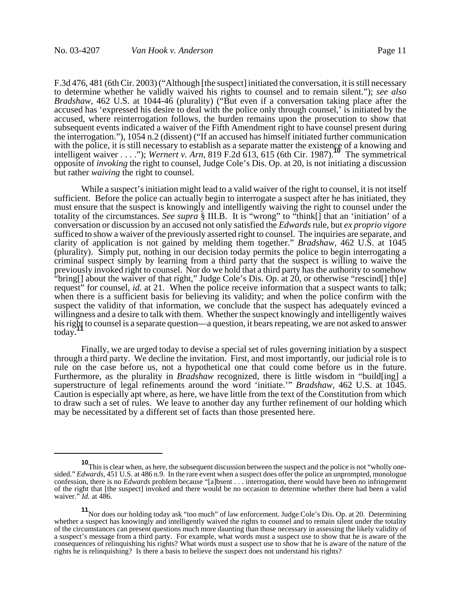F.3d 476, 481 (6th Cir. 2003) ("Although [the suspect] initiated the conversation, it is still necessary to determine whether he validly waived his rights to counsel and to remain silent."); *see also Bradshaw*, 462 U.S. at 1044-46 (plurality) ("But even if a conversation taking place after the accused has 'expressed his desire to deal with the police only through counsel,' is initiated by the accused, where reinterrogation follows, the burden remains upon the prosecution to show that subsequent events indicated a waiver of the Fifth Amendment right to have counsel present during the interrogation."), 1054 n.2 (dissent) ("If an accused has himself initiated further communication with the police, it is still necessary to establish as a separate matter the existence of a knowing and intelligent waiver . . . ."); *Wernert v. Arn*, 819 F.2d 613, 615 (6th Cir. 1987).**10** The symmetrical opposite of *invoking* the right to counsel, Judge Cole's Dis. Op. at 20, is not initiating a discussion but rather *waiving* the right to counsel.

While a suspect's initiation might lead to a valid waiver of the right to counsel, it is not itself sufficient. Before the police can actually begin to interrogate a suspect after he has initiated, they must ensure that the suspect is knowingly and intelligently waiving the right to counsel under the totality of the circumstances. *See supra* § III.B. It is "wrong" to "think[] that an 'initiation' of a conversation or discussion by an accused not only satisfied the *Edwards* rule, but *ex proprio vigore* sufficed to show a waiver of the previously asserted right to counsel. The inquiries are separate, and clarity of application is not gained by melding them together." *Bradshaw*, 462 U.S. at 1045 (plurality). Simply put, nothing in our decision today permits the police to begin interrogating a criminal suspect simply by learning from a third party that the suspect is willing to waive the previously invoked right to counsel. Nor do we hold that a third party has the authority to somehow "bring[] about the waiver of that right," Judge Cole's Dis. Op. at 20, or otherwise "rescind[] th[e] request" for counsel, *id.* at 21. When the police receive information that a suspect wants to talk; when there is a sufficient basis for believing its validity; and when the police confirm with the suspect the validity of that information, we conclude that the suspect has adequately evinced a willingness and a desire to talk with them. Whether the suspect knowingly and intelligently waives his right to counsel is a separate question—a question, it bears repeating, we are not asked to answer today.

Finally, we are urged today to devise a special set of rules governing initiation by a suspect through a third party. We decline the invitation. First, and most importantly, our judicial role is to rule on the case before us, not a hypothetical one that could come before us in the future. Furthermore, as the plurality in *Bradshaw* recognized, there is little wisdom in "build[ing] a superstructure of legal refinements around the word 'initiate.'" *Bradshaw*, 462 U.S. at 1045. Caution is especially apt where, as here, we have little from the text of the Constitution from which to draw such a set of rules. We leave to another day any further refinement of our holding which may be necessitated by a different set of facts than those presented here.

**<sup>10</sup>**This is clear when, as here, the subsequent discussion between the suspect and the police is not "wholly onesided." *Edwards*, 451 U.S. at 486 n.9. In the rare event when a suspect does offer the police an unprompted, monologue confession, there is no *Edwards* problem because "[a]bsent . . . interrogation, there would have been no infringement of the right that [the suspect] invoked and there would be no occasion to determine whether there had been a valid waiver." *Id.* at 486.

**<sup>11</sup>**Nor does our holding today ask "too much" of law enforcement. Judge Cole's Dis. Op. at 20. Determining whether a suspect has knowingly and intelligently waived the rights to counsel and to remain silent under the totality of the circumstances can present questions much more daunting than those necessary in assessing the likely validity of a suspect's message from a third party. For example, what words must a suspect use to show that he is aware of the consequences of relinquishing his rights? What words must a suspect use to show that he is aware of the nature of the rights he is relinquishing? Is there a basis to believe the suspect does not understand his rights?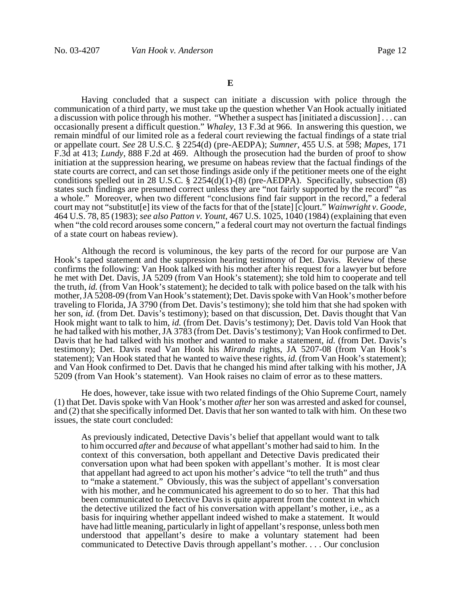Having concluded that a suspect can initiate a discussion with police through the communication of a third party, we must take up the question whether Van Hook actually initiated a discussion with police through his mother. "Whether a suspect has [initiated a discussion] . . . can occasionally present a difficult question." *Whaley*, 13 F.3d at 966. In answering this question, we remain mindful of our limited role as a federal court reviewing the factual findings of a state trial or appellate court. *See* 28 U.S.C. § 2254(d) (pre-AEDPA); *Sumner*, 455 U.S. at 598; *Mapes*, 171 F.3d at 413; *Lundy*, 888 F.2d at 469. Although the prosecution had the burden of proof to show initiation at the suppression hearing, we presume on habeas review that the factual findings of the state courts are correct, and can set those findings aside only if the petitioner meets one of the eight conditions spelled out in 28 U.S.C.  $\S$  2254(d)(1)-(8) (pre-AEDPA). Specifically, subsection (8) states such findings are presumed correct unless they are "not fairly supported by the record" "as a whole." Moreover, when two different "conclusions find fair support in the record," a federal court may not "substitut[e] its view of the facts for that of the [state] [c]ourt." *Wainwright v. Goode*, 464 U.S. 78, 85 (1983); *see also Patton v. Yount*, 467 U.S. 1025, 1040 (1984) (explaining that even when "the cold record arouses some concern," a federal court may not overturn the factual findings of a state court on habeas review).

Although the record is voluminous, the key parts of the record for our purpose are Van Hook's taped statement and the suppression hearing testimony of Det. Davis. Review of these confirms the following: Van Hook talked with his mother after his request for a lawyer but before he met with Det. Davis, JA 5209 (from Van Hook's statement); she told him to cooperate and tell the truth, *id.* (from Van Hook's statement); he decided to talk with police based on the talk with his mother, JA 5208-09 (from Van Hook's statement); Det. Davis spoke with Van Hook's mother before traveling to Florida, JA 3790 (from Det. Davis's testimony); she told him that she had spoken with her son, *id.* (from Det. Davis's testimony); based on that discussion, Det. Davis thought that Van Hook might want to talk to him, *id.* (from Det. Davis's testimony); Det. Davis told Van Hook that he had talked with his mother, JA 3783 (from Det. Davis's testimony); Van Hook confirmed to Det. Davis that he had talked with his mother and wanted to make a statement, *id.* (from Det. Davis's testimony); Det. Davis read Van Hook his *Miranda* rights, JA 5207-08 (from Van Hook's statement); Van Hook stated that he wanted to waive these rights, *id.* (from Van Hook's statement); and Van Hook confirmed to Det. Davis that he changed his mind after talking with his mother, JA 5209 (from Van Hook's statement). Van Hook raises no claim of error as to these matters.

He does, however, take issue with two related findings of the Ohio Supreme Court, namely (1) that Det. Davis spoke with Van Hook's mother *after* her son was arrested and asked for counsel, and (2) that she specifically informed Det. Davis that her son wanted to talk with him. On these two issues, the state court concluded:

As previously indicated, Detective Davis's belief that appellant would want to talk to him occurred *after* and *because* of what appellant's mother had said to him. In the context of this conversation, both appellant and Detective Davis predicated their conversation upon what had been spoken with appellant's mother. It is most clear that appellant had agreed to act upon his mother's advice "to tell the truth" and thus to "make a statement." Obviously, this was the subject of appellant's conversation with his mother, and he communicated his agreement to do so to her. That this had been communicated to Detective Davis is quite apparent from the context in which the detective utilized the fact of his conversation with appellant's mother, i.e., as a basis for inquiring whether appellant indeed wished to make a statement. It would have had little meaning, particularly in light of appellant's response, unless both men understood that appellant's desire to make a voluntary statement had been communicated to Detective Davis through appellant's mother. . . . Our conclusion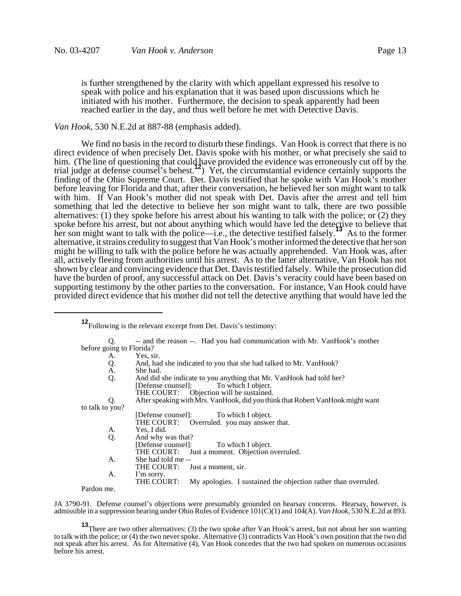is further strengthened by the clarity with which appellant expressed his resolve to speak with police and his explanation that it was based upon discussions which he initiated with his mother. Furthermore, the decision to speak apparently had been reached earlier in the day, and thus well before he met with Detective Davis.

#### *Van Hook*, 530 N.E.2d at 887-88 (emphasis added).

We find no basis in the record to disturb these findings. Van Hook is correct that there is no direct evidence of when precisely Det. Davis spoke with his mother, or what precisely she said to him. (The line of questioning that could have provided the evidence was erroneously cut off by the trial judge at defense counsel's behest.**12**) Yet, the circumstantial evidence certainly supports the finding of the Ohio Supreme Court. Det. Davis testified that he spoke with Van Hook's mother before leaving for Florida and that, after their conversation, he believed her son might want to talk with him. If Van Hook's mother did not speak with Det. Davis after the arrest and tell him something that led the detective to believe her son might want to talk, there are two possible alternatives: (1) they spoke before his arrest about his wanting to talk with the police; or  $(2)$  they spoke before his arrest, but not about anything which would have led the detective to believe that her son might want to talk with the police—i.e., the detective testified falsely.**<sup>13</sup>** As to the former alternative, it strains credulity to suggest that Van Hook's mother informed the detective that her son might be willing to talk with the police before he was actually apprehended. Van Hook was, after all, actively fleeing from authorities until his arrest. As to the latter alternative, Van Hook has not shown by clear and convincing evidence that Det. Davis testified falsely. While the prosecution did have the burden of proof, any successful attack on Det. Davis's veracity could have been based on supporting testimony by the other parties to the conversation. For instance, Van Hook could have provided direct evidence that his mother did not tell the detective anything that would have led the

**<sup>12</sup>**Following is the relevant excerpt from Det. Davis's testimony:

| Q.                       | -- and the reason --. Had you had communication with Mr. VanHook's mother      |
|--------------------------|--------------------------------------------------------------------------------|
| before going to Florida? |                                                                                |
| А.                       | Yes, sir.                                                                      |
| Q.                       | And, had she indicated to you that she had talked to Mr. VanHook?              |
| A.                       | She had.                                                                       |
| Q.                       | And did she indicate to you anything that Mr. VanHook had told her?            |
|                          | To which I object.<br>[Defense counsel]:                                       |
|                          | THE COURT: Objection will be sustained.                                        |
| Q.                       | After speaking with Mrs. VanHook, did you think that Robert VanHook might want |
| to talk to you?          |                                                                                |
|                          | [Defense counsel]: To which I object.                                          |
|                          | THE COURT: Overruled. you may answer that.                                     |
| А.                       | Yes, I did.                                                                    |
| Q.                       | And why was that?                                                              |
|                          | [Defense counsel]: To which I object.                                          |
|                          | THE COURT: Just a moment. Objection overruled.                                 |
| А.                       | She had told me --                                                             |
|                          | THE COURT:<br>Just a moment, sir.                                              |
| А.                       | I'm sorry.                                                                     |
|                          | THE COURT:<br>My apologies. I sustained the objection rather than overruled.   |
| Pardon me.               |                                                                                |

JA 3790-91. Defense counsel's objections were presumably grounded on hearsay concerns. Hearsay, however, is admissible in a suppression hearing under Ohio Rules of Evidence 101(C)(1) and 104(A). *Van Hook*, 530 N.E.2d at 893.

**13**There are two other alternatives: (3) the two spoke after Van Hook's arrest, but not about her son wanting to talk with the police; or (4) the two never spoke. Alternative (3) contradicts Van Hook's own position that the two did not speak after his arrest. As for Alternative (4), Van Hook concedes that the two had spoken on numerous occasions before his arrest.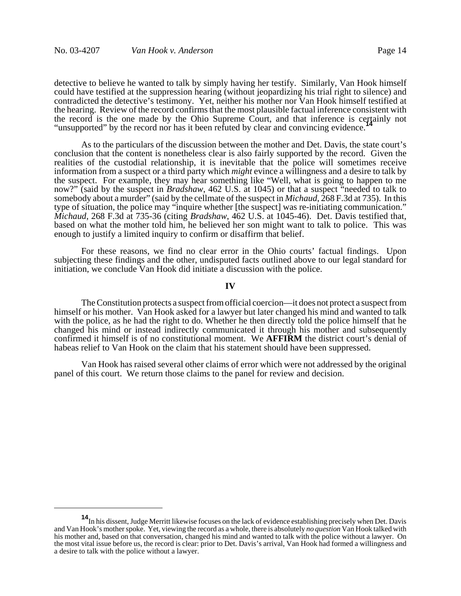detective to believe he wanted to talk by simply having her testify. Similarly, Van Hook himself could have testified at the suppression hearing (without jeopardizing his trial right to silence) and contradicted the detective's testimony. Yet, neither his mother nor Van Hook himself testified at the hearing. Review of the record confirms that the most plausible factual inference consistent with the record is the one made by the Ohio Supreme Court, and that inference is certainly not "unsupported" by the record nor has it been refuted by clear and convincing evidence.**<sup>14</sup>**

As to the particulars of the discussion between the mother and Det. Davis, the state court's conclusion that the content is nonetheless clear is also fairly supported by the record. Given the realities of the custodial relationship, it is inevitable that the police will sometimes receive information from a suspect or a third party which *might* evince a willingness and a desire to talk by the suspect. For example, they may hear something like "Well, what is going to happen to me now?" (said by the suspect in *Bradshaw*, 462 U.S. at 1045) or that a suspect "needed to talk to somebody about a murder" (said by the cellmate of the suspect in *Michaud*, 268 F.3d at 735). In this type of situation, the police may "inquire whether [the suspect] was re-initiating communication." *Michaud*, 268 F.3d at 735-36 (citing *Bradshaw*, 462 U.S. at 1045-46). Det. Davis testified that, based on what the mother told him, he believed her son might want to talk to police. This was enough to justify a limited inquiry to confirm or disaffirm that belief.

For these reasons, we find no clear error in the Ohio courts' factual findings. Upon subjecting these findings and the other, undisputed facts outlined above to our legal standard for initiation, we conclude Van Hook did initiate a discussion with the police.

**IV**

The Constitution protects a suspect from official coercion—it does not protect a suspect from himself or his mother. Van Hook asked for a lawyer but later changed his mind and wanted to talk with the police, as he had the right to do. Whether he then directly told the police himself that he changed his mind or instead indirectly communicated it through his mother and subsequently confirmed it himself is of no constitutional moment. We **AFFIRM** the district court's denial of habeas relief to Van Hook on the claim that his statement should have been suppressed.

Van Hook has raised several other claims of error which were not addressed by the original panel of this court. We return those claims to the panel for review and decision.

**<sup>14</sup>**In his dissent, Judge Merritt likewise focuses on the lack of evidence establishing precisely when Det. Davis and Van Hook's mother spoke. Yet, viewing the record as a whole, there is absolutely *no question* Van Hook talked with his mother and, based on that conversation, changed his mind and wanted to talk with the police without a lawyer. On the most vital issue before us, the record is clear: prior to Det. Davis's arrival, Van Hook had formed a willingness and a desire to talk with the police without a lawyer.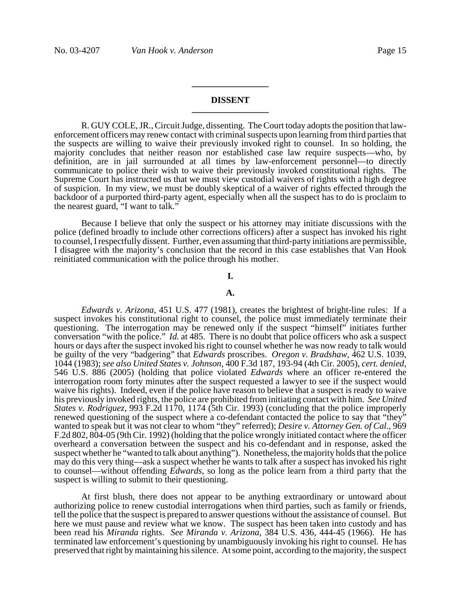# **DISSENT \_\_\_\_\_\_\_\_\_\_\_\_\_\_\_\_\_**

**\_\_\_\_\_\_\_\_\_\_\_\_\_\_\_\_\_**

R. GUY COLE, JR., Circuit Judge, dissenting. The Court today adopts the position that lawenforcement officers may renew contact with criminal suspects upon learning from third parties that the suspects are willing to waive their previously invoked right to counsel. In so holding, the majority concludes that neither reason nor established case law require suspects—who, by definition, are in jail surrounded at all times by law-enforcement personnel—to directly communicate to police their wish to waive their previously invoked constitutional rights. The Supreme Court has instructed us that we must view custodial waivers of rights with a high degree of suspicion. In my view, we must be doubly skeptical of a waiver of rights effected through the backdoor of a purported third-party agent, especially when all the suspect has to do is proclaim to the nearest guard, "I want to talk."

Because I believe that only the suspect or his attorney may initiate discussions with the police (defined broadly to include other corrections officers) after a suspect has invoked his right to counsel, I respectfully dissent. Further, even assuming that third-party initiations are permissible, I disagree with the majority's conclusion that the record in this case establishes that Van Hook reinitiated communication with the police through his mother.

#### **I.**

#### **A.**

*Edwards v. Arizona*, 451 U.S. 477 (1981), creates the brightest of bright-line rules: If a suspect invokes his constitutional right to counsel, the police must immediately terminate their questioning. The interrogation may be renewed only if the suspect "himself" initiates further conversation "with the police." *Id.* at 485. There is no doubt that police officers who ask a suspect hours or days after the suspect invoked his right to counsel whether he was now ready to talk would be guilty of the very "badgering" that *Edwards* proscribes. *Oregon v. Bradshaw*, 462 U.S. 1039, 1044 (1983); *see also United States v. Johnson*, 400 F.3d 187, 193-94 (4th Cir. 2005), *cert. denied*, 546 U.S. 886 (2005) (holding that police violated *Edwards* where an officer re-entered the interrogation room forty minutes after the suspect requested a lawyer to see if the suspect would waive his rights). Indeed, even if the police have reason to believe that a suspect is ready to waive his previously invoked rights, the police are prohibited from initiating contact with him. *See United States v. Rodriguez*, 993 F.2d 1170, 1174 (5th Cir. 1993) (concluding that the police improperly renewed questioning of the suspect where a co-defendant contacted the police to say that "they" wanted to speak but it was not clear to whom "they" referred); *Desire v. Attorney Gen. of Cal.*, 969 F.2d 802, 804-05 (9th Cir. 1992) (holding that the police wrongly initiated contact where the officer overheard a conversation between the suspect and his co-defendant and in response, asked the suspect whether he "wanted to talk about anything"). Nonetheless, the majority holds that the police may do this very thing—ask a suspect whether he wants to talk after a suspect has invoked his right to counsel—without offending *Edwards*, so long as the police learn from a third party that the suspect is willing to submit to their questioning.

At first blush, there does not appear to be anything extraordinary or untoward about authorizing police to renew custodial interrogations when third parties, such as family or friends, tell the police that the suspect is prepared to answer questions without the assistance of counsel. But here we must pause and review what we know. The suspect has been taken into custody and has been read his *Miranda* rights. *See Miranda v. Arizona*, 384 U.S. 436, 444-45 (1966). He has terminated law enforcement's questioning by unambiguously invoking his right to counsel. He has preserved that right by maintaining his silence. At some point, according to the majority, the suspect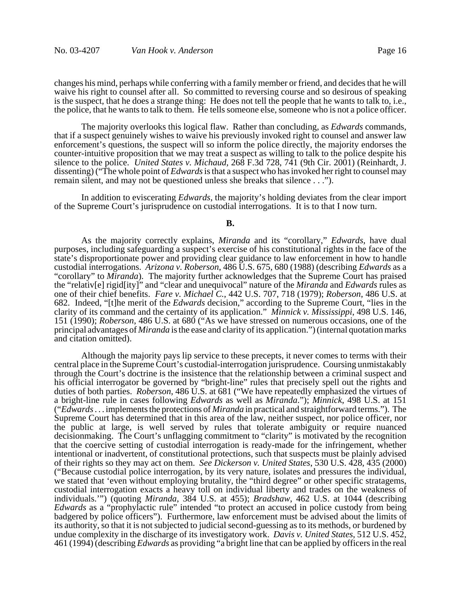changes his mind, perhaps while conferring with a family member or friend, and decides that he will waive his right to counsel after all. So committed to reversing course and so desirous of speaking is the suspect, that he does a strange thing: He does not tell the people that he wants to talk to, i.e., the police, that he wants to talk to them. He tells someone else, someone who is not a police officer.

The majority overlooks this logical flaw. Rather than concluding, as *Edwards* commands, that if a suspect genuinely wishes to waive his previously invoked right to counsel and answer law enforcement's questions, the suspect will so inform the police directly, the majority endorses the counter-intuitive proposition that we may treat a suspect as willing to talk to the police despite his silence to the police. *United States v. Michaud*, 268 F.3d 728, 741 (9th Cir. 2001) (Reinhardt, J. dissenting) ("The whole point of *Edwards* is that a suspect who has invoked her right to counsel may remain silent, and may not be questioned unless she breaks that silence . . .").

In addition to eviscerating *Edwards*, the majority's holding deviates from the clear import of the Supreme Court's jurisprudence on custodial interrogations. It is to that I now turn.

# **B.**

As the majority correctly explains, *Miranda* and its "corollary," *Edwards*, have dual purposes, including safeguarding a suspect's exercise of his constitutional rights in the face of the state's disproportionate power and providing clear guidance to law enforcement in how to handle custodial interrogations. *Arizona v. Roberson*, 486 U.S. 675, 680 (1988) (describing *Edwards* as a "corollary" to *Miranda*). The majority further acknowledges that the Supreme Court has praised the "relativ[e] rigid[ity]" and "clear and unequivocal" nature of the *Miranda* and *Edwards* rules as one of their chief benefits. *Fare v. Michael C.*, 442 U.S. 707, 718 (1979); *Roberson*, 486 U.S. at 682. Indeed, "[t]he merit of the *Edwards* decision," according to the Supreme Court, "lies in the clarity of its command and the certainty of its application." *Minnick v. Mississippi*, 498 U.S. 146, 151 (1990); *Roberson*, 486 U.S. at 680 ("As we have stressed on numerous occasions, one of the principal advantages of *Miranda* is the ease and clarity of its application.") (internal quotation marks and citation omitted).

Although the majority pays lip service to these precepts, it never comes to terms with their central place in the Supreme Court's custodial-interrogation jurisprudence. Coursing unmistakably through the Court's doctrine is the insistence that the relationship between a criminal suspect and his official interrogator be governed by "bright-line" rules that precisely spell out the rights and duties of both parties. *Roberson*, 486 U.S. at 681 ("We have repeatedly emphasized the virtues of a bright-line rule in cases following *Edwards* as well as *Miranda*."); *Minnick*, 498 U.S. at 151 ("*Edwards* . . . implements the protections of *Miranda* in practical and straightforward terms."). The Supreme Court has determined that in this area of the law, neither suspect, nor police officer, nor the public at large, is well served by rules that tolerate ambiguity or require nuanced decisionmaking. The Court's unflagging commitment to "clarity" is motivated by the recognition that the coercive setting of custodial interrogation is ready-made for the infringement, whether intentional or inadvertent, of constitutional protections, such that suspects must be plainly advised of their rights so they may act on them. *See Dickerson v. United States*, 530 U.S. 428, 435 (2000) ("Because custodial police interrogation, by its very nature, isolates and pressures the individual, we stated that 'even without employing brutality, the "third degree" or other specific stratagems, custodial interrogation exacts a heavy toll on individual liberty and trades on the weakness of individuals.'") (quoting *Miranda*, 384 U.S. at 455); *Bradshaw*, 462 U.S. at 1044 (describing *Edwards* as a "prophylactic rule" intended "to protect an accused in police custody from being badgered by police officers"). Furthermore, law enforcement must be advised about the limits of its authority, so that it is not subjected to judicial second-guessing as to its methods, or burdened by undue complexity in the discharge of its investigatory work. *Davis v. United States*, 512 U.S. 452, 461 (1994) (describing *Edwards* as providing "a bright line that can be applied by officers in the real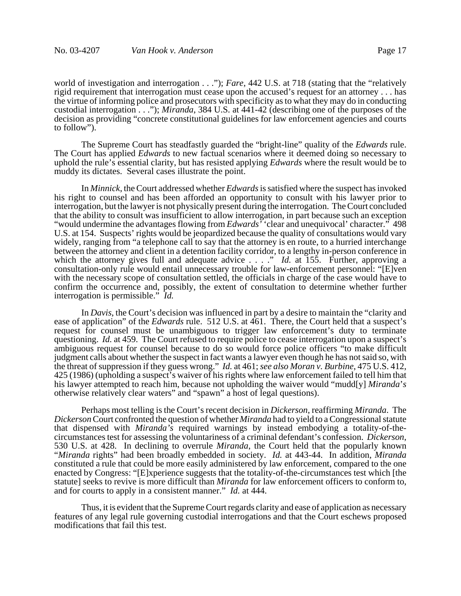world of investigation and interrogation . . ."); *Fare*, 442 U.S. at 718 (stating that the "relatively rigid requirement that interrogation must cease upon the accused's request for an attorney . . . has the virtue of informing police and prosecutors with specificity as to what they may do in conducting custodial interrogation . . ."); *Miranda*, 384 U.S. at 441-42 (describing one of the purposes of the decision as providing "concrete constitutional guidelines for law enforcement agencies and courts to follow").

The Supreme Court has steadfastly guarded the "bright-line" quality of the *Edwards* rule. The Court has applied *Edwards* to new factual scenarios where it deemed doing so necessary to uphold the rule's essential clarity, but has resisted applying *Edwards* where the result would be to muddy its dictates. Several cases illustrate the point.

In *Minnick*, the Court addressed whether *Edwards* is satisfied where the suspect has invoked his right to counsel and has been afforded an opportunity to consult with his lawyer prior to interrogation, but the lawyer is not physically present during the interrogation. The Court concluded that the ability to consult was insufficient to allow interrogation, in part because such an exception "would undermine the advantages flowing from *Edwards'* 'clear and unequivocal' character." 498 U.S. at 154. Suspects' rights would be jeopardized because the quality of consultations would vary widely, ranging from "a telephone call to say that the attorney is en route, to a hurried interchange between the attorney and client in a detention facility corridor, to a lengthy in-person conference in which the attorney gives full and adequate advice . . . ." *Id.* at 155. Further, approving a consultation-only rule would entail unnecessary trouble for law-enforcement personnel: "[E]ven with the necessary scope of consultation settled, the officials in charge of the case would have to confirm the occurrence and, possibly, the extent of consultation to determine whether further interrogation is permissible." *Id.*

In *Davis*, the Court's decision was influenced in part by a desire to maintain the "clarity and ease of application" of the *Edwards* rule. 512 U.S. at 461. There, the Court held that a suspect's request for counsel must be unambiguous to trigger law enforcement's duty to terminate questioning. *Id.* at 459. The Court refused to require police to cease interrogation upon a suspect's ambiguous request for counsel because to do so would force police officers "to make difficult judgment calls about whether the suspect in fact wants a lawyer even though he has not said so, with the threat of suppression if they guess wrong." *Id.* at 461; *see also Moran v. Burbine*, 475 U.S. 412, 425 (1986) (upholding a suspect's waiver of his rights where law enforcement failed to tell him that his lawyer attempted to reach him, because not upholding the waiver would "mudd[y] *Miranda*'*s* otherwise relatively clear waters" and "spawn" a host of legal questions).

Perhaps most telling is the Court's recent decision in *Dickerson*, reaffirming *Miranda*. The *Dickerson* Court confronted the question of whether *Miranda* had to yield to a Congressional statute that dispensed with *Miranda's* required warnings by instead embodying a totality-of-thecircumstances test for assessing the voluntariness of a criminal defendant's confession. Dickerson, 530 U.S. at 428. In declining to overrule *Miranda*, the Court held that the popularly known "*Miranda* rights" had been b constituted a rule that could be more easily administered by law enforcement, compared to the one enacted by Congress: "[E]xperience suggests that the totality-of-the-circumstances test which [the statute] seeks to revive is more difficult than *Miranda* for law enforcement officers to conform to, and for courts to apply in a consistent manner." *Id.* at 444.

Thus, it is evident that the Supreme Court regards clarity and ease of application as necessary features of any legal rule governing custodial interrogations and that the Court eschews proposed modifications that fail this test.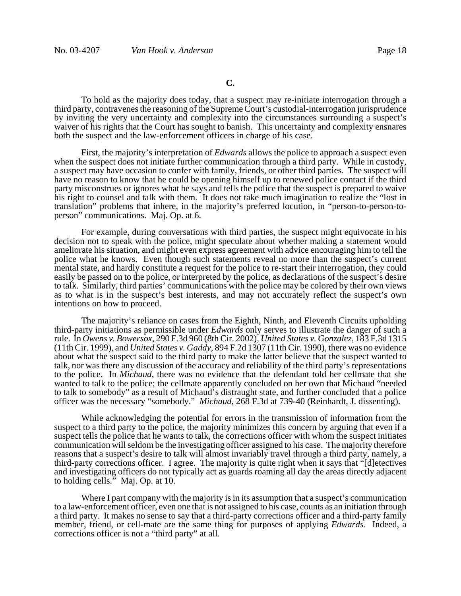To hold as the majority does today, that a suspect may re-initiate interrogation through a third party, contravenes the reasoning of the Supreme Court's custodial-interrogation jurisprudence by inviting the very uncertainty and complexity into the circumstances surrounding a suspect's waiver of his rights that the Court has sought to banish. This uncertainty and complexity ensnares both the suspect and the law-enforcement officers in charge of his case.

First, the majority's interpretation of *Edwards* allows the police to approach a suspect even when the suspect does not initiate further communication through a third party. While in custody, a suspect may have occasion to confer with family, friends, or other third parties. The suspect will have no reason to know that he could be opening himself up to renewed police contact if the third party misconstrues or ignores what he says and tells the police that the suspect is prepared to waive his right to counsel and talk with them. It does not take much imagination to realize the "lost in translation" problems that inhere, in the majority's preferred locution, in "person-to-person-toperson" communications. Maj. Op. at 6.

For example, during conversations with third parties, the suspect might equivocate in his decision not to speak with the police, might speculate about whether making a statement would ameliorate his situation, and might even express agreement with advice encouraging him to tell the police what he knows. Even though such statements reveal no more than the suspect's current mental state, and hardly constitute a request for the police to re-start their interrogation, they could easily be passed on to the police, or interpreted by the police, as declarations of the suspect's desire to talk. Similarly, third parties' communications with the police may be colored by their own views as to what is in the suspect's best interests, and may not accurately reflect the suspect's own intentions on how to proceed.

The majority's reliance on cases from the Eighth, Ninth, and Eleventh Circuits upholding third-party initiations as permissible under *Edwards* only serves to illustrate the danger of such a rule. In *Owens v. Bowersox*, 290 F.3d 960 (8th Cir. 2002), *United States v. Gonzalez*, 183 F.3d 1315 (11th Cir. 1999), and *United States v. Gaddy*, 894 F.2d 1307 (11th Cir. 1990), there was no evidence about what the suspect said to the third party to make the latter believe that the suspect wanted to talk, nor was there any discussion of the accuracy and reliability of the third party's representations to the police. In *Michaud*, there was no evidence that the defendant told her cellmate that she wanted to talk to the police; the cellmate apparently concluded on her own that Michaud "needed to talk to somebody" as a result of Michaud's distraught state, and further concluded that a police officer was the necessary "somebody." *Michaud*, 268 F.3d at 739-40 (Reinhardt, J. dissenting).

While acknowledging the potential for errors in the transmission of information from the suspect to a third party to the police, the majority minimizes this concern by arguing that even if a suspect tells the police that he wants to talk, the corrections officer with whom the suspect initiates communication will seldom be the investigating officer assigned to his case. The majority therefore reasons that a suspect's desire to talk will almost invariably travel through a third party, namely, a third-party corrections officer. I agree. The majority is quite right when it says that "[d]etectives and investigating officers do not typically act as guards roaming all day the areas directly adjacent to holding cells." Maj. Op. at 10.

Where I part company with the majority is in its assumption that a suspect's communication to a law-enforcement officer, even one that is not assigned to his case, counts as an initiation through a third party. It makes no sense to say that a third-party corrections officer and a third-party family member, friend, or cell-mate are the same thing for purposes of applying *Edwards*. Indeed, a corrections officer is not a "third party" at all.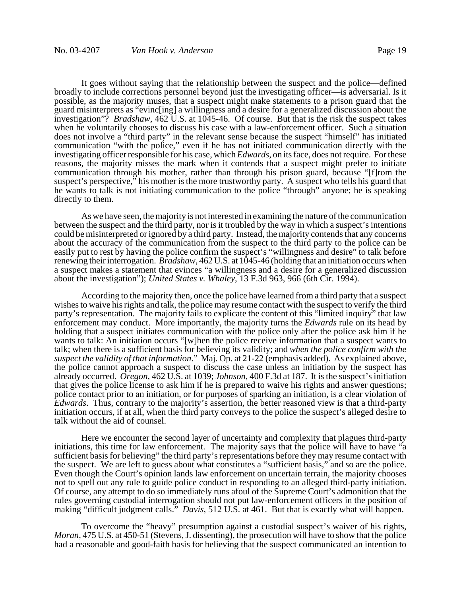It goes without saying that the relationship between the suspect and the police—defined broadly to include corrections personnel beyond just the investigating officer—is adversarial. Is it possible, as the majority muses, that a suspect might make statements to a prison guard that the guard misinterprets as "evinc[ing] a willingness and a desire for a generalized discussion about the investigation"? *Bradshaw*, 462 U.S. at 1045-46. Of course. But that is the risk the suspect takes when he voluntarily chooses to discuss his case with a law-enforcement officer. Such a situation does not involve a "third party" in the relevant sense because the suspect "himself" has initiated communication "with the police," even if he has not initiated communication directly with the investigating officer responsible for his case, which *Edwards*, on its face, does not require. For these reasons, the majority misses the mark when it contends that a suspect might prefer to initiate communication through his mother, rather than through his prison guard, because "[f]rom the suspect's perspective," his mother is the more trustworthy party. A suspect who tells his guard that he wants to talk is not initiating communication to the police "through" anyone; he is speaking directly to them.

As we have seen, the majority is not interested in examining the nature of the communication between the suspect and the third party, nor is it troubled by the way in which a suspect's intentions could be misinterpreted or ignored by a third party. Instead, the majority contends that any concerns about the accuracy of the communication from the suspect to the third party to the police can be easily put to rest by having the police confirm the suspect's "willingness and desire" to talk before renewing their interrogation. *Bradshaw*, 462 U.S. at 1045-46 (holding that an initiation occurs when a suspect makes a statement that evinces "a willingness and a desire for a generalized discussion about the investigation"); *United States v. Whaley*, 13 F.3d 963, 966 (6th Cir. 1994).

According to the majority then, once the police have learned from a third party that a suspect wishes to waive his rights and talk, the police may resume contact with the suspect to verify the third party's representation. The majority fails to explicate the content of this "limited inquiry" that law enforcement may conduct. More importantly, the majority turns the *Edwards* rule on its head by holding that a suspect initiates communication with the police only after the police ask him if he wants to talk: An initiation occurs "[w]hen the police receive information that a suspect wants to talk; when there is a sufficient basis for believing its validity; and *when the police confirm with the suspect the validity of that information*." Maj. Op. at 21-22 (emphasis added). As explained above, the police cannot approach a suspect to discuss the case unless an initiation by the suspect has already occurred. *Oregon*, 462 U.S. at 1039; *Johnson*, 400 F.3d at 187. It is the suspect's initiation that gives the police license to ask him if he is prepared to waive his rights and answer questions; police contact prior to an initiation, or for purposes of sparking an initiation, is a clear violation of *Edwards*. Thus, contrary to the majority's assertion, the better reasoned view is that a third-party initiation occurs, if at all, when the third party conveys to the police the suspect's alleged desire to talk without the aid of counsel.

Here we encounter the second layer of uncertainty and complexity that plagues third-party initiations, this time for law enforcement. The majority says that the police will have to have "a sufficient basis for believing" the third party's representations before they may resume contact with the suspect. We are left to guess about what constitutes a "sufficient basis," and so are the police. Even though the Court's opinion lands law enforcement on uncertain terrain, the majority chooses not to spell out any rule to guide police conduct in responding to an alleged third-party initiation. Of course, any attempt to do so immediately runs afoul of the Supreme Court's admonition that the rules governing custodial interrogation should not put law-enforcement officers in the position of making "difficult judgment calls." *Davis*, 512 U.S. at 461. But that is exactly what will happen.

To overcome the "heavy" presumption against a custodial suspect's waiver of his rights, *Moran*, 475 U.S. at 450-51 (Stevens, J. dissenting), the prosecution will have to show that the police had a reasonable and good-faith basis for believing that the suspect communicated an intention to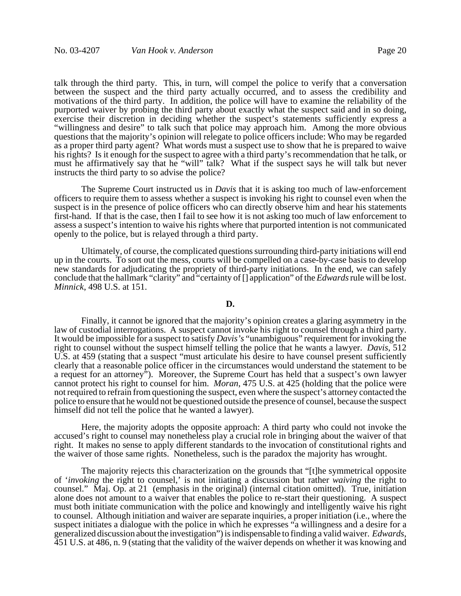talk through the third party. This, in turn, will compel the police to verify that a conversation between the suspect and the third party actually occurred, and to assess the credibility and motivations of the third party. In addition, the police will have to examine the reliability of the purported waiver by probing the third party about exactly what the suspect said and in so doing, exercise their discretion in deciding whether the suspect's statements sufficiently express a "willingness and desire" to talk such that police may approach him. Among the more obvious questions that the majority's opinion will relegate to police officers include: Who may be regarded as a proper third party agent? What words must a suspect use to show that he is prepared to waive his rights? Is it enough for the suspect to agree with a third party's recommendation that he talk, or must he affirmatively say that he "will" talk? What if the suspect says he will talk but never instructs the third party to so advise the police?

The Supreme Court instructed us in *Davis* that it is asking too much of law-enforcement officers to require them to assess whether a suspect is invoking his right to counsel even when the suspect is in the presence of police officers who can directly observe him and hear his statements first-hand. If that is the case, then I fail to see how it is not asking too much of law enforcement to assess a suspect's intention to waive his rights where that purported intention is not communicated openly to the police, but is relayed through a third party.

Ultimately, of course, the complicated questions surrounding third-party initiations will end up in the courts. To sort out the mess, courts will be compelled on a case-by-case basis to develop new standards for adjudicating the propriety of third-party initiations. In the end, we can safely conclude that the hallmark "clarity" and "certainty of [] application" of the *Edwards* rule will be lost. *Minnick*, 498 U.S. at 151.

### **D.**

Finally, it cannot be ignored that the majority's opinion creates a glaring asymmetry in the law of custodial interrogations. A suspect cannot invoke his right to counsel through a third party. It would be impossible for a suspect to satisfy *Davis's* "unambiguous" requirement for invoking the right to counsel without the suspect himself telling the police that he wants a lawyer. *Davis*, 512 U.S. at 459 (stating that a suspect "must articulate his desire to have counsel present sufficiently clearly that a reasonable police officer in the circumstances would understand the statement to be a request for an attorney"). Moreover, the Supreme Court has held that a suspect's own lawyer cannot protect his right to counsel for him. *Moran*, 475 U.S. at 425 (holding that the police were not required to refrain from questioning the suspect, even where the suspect's attorney contacted the police to ensure that he would not be questioned outside the presence of counsel, because the suspect himself did not tell the police that he wanted a lawyer).

Here, the majority adopts the opposite approach: A third party who could not invoke the accused's right to counsel may nonetheless play a crucial role in bringing about the waiver of that right. It makes no sense to apply different standards to the invocation of constitutional rights and the waiver of those same rights. Nonetheless, such is the paradox the majority has wrought.

The majority rejects this characterization on the grounds that "[t]he symmetrical opposite of '*invoking* the right to counsel,' is not initiating a discussion but rather *waiving* the right to counsel." Maj. Op. at 21 (emphasis in the original) (internal citation omitted). True, initiation alone does not amount to a waiver that enables the police to re-start their questioning. A suspect must both initiate communication with the police and knowingly and intelligently waive his right to counsel. Although initiation and waiver are separate inquiries, a proper initiation (i.e., where the suspect initiates a dialogue with the police in which he expresses "a willingness and a desire for a generalized discussion about the investigation") is indispensable to finding a valid waiver. *Edwards*, 451 U.S. at 486, n. 9 (stating that the validity of the waiver depends on whether it was knowing and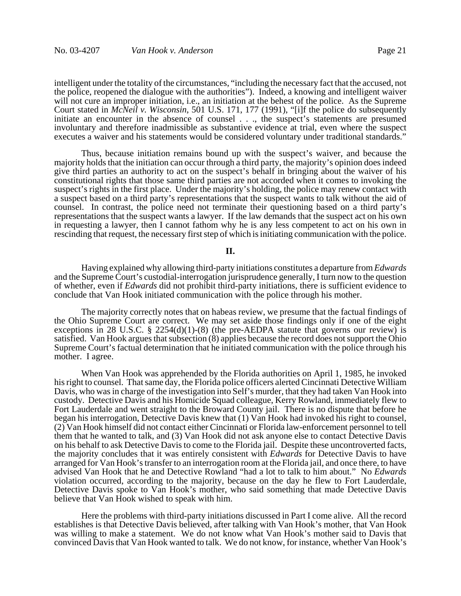intelligent under the totality of the circumstances, "including the necessary fact that the accused, not the police, reopened the dialogue with the authorities"). Indeed, a knowing and intelligent waiver will not cure an improper initiation, i.e., an initiation at the behest of the police. As the Supreme Court stated in *McNeil v. Wisconsin*, 501 U.S. 171, 177 (1991), "[i]f the police do subsequently initiate an encounter in the absence of counsel . . ., the suspect's statements are presumed involuntary and therefore inadmissible as substantive evidence at trial, even where the suspect executes a waiver and his statements would be considered voluntary under traditional standards."

Thus, because initiation remains bound up with the suspect's waiver, and because the majority holds that the initiation can occur through a third party, the majority's opinion does indeed give third parties an authority to act on the suspect's behalf in bringing about the waiver of his constitutional rights that those same third parties are not accorded when it comes to invoking the suspect's rights in the first place. Under the majority's holding, the police may renew contact with a suspect based on a third party's representations that the suspect wants to talk without the aid of counsel. In contrast, the police need not terminate their questioning based on a third party's representations that the suspect wants a lawyer. If the law demands that the suspect act on his own in requesting a lawyer, then I cannot fathom why he is any less competent to act on his own in rescinding that request, the necessary first step of which is initiating communication with the police.

### **II.**

Having explained why allowing third-party initiations constitutes a departure from *Edwards* and the Supreme Court's custodial-interrogation jurisprudence generally, I turn now to the question of whether, even if *Edwards* did not prohibit third-party initiations, there is sufficient evidence to conclude that Van Hook initiated communication with the police through his mother.

The majority correctly notes that on habeas review, we presume that the factual findings of the Ohio Supreme Court are correct. We may set aside those findings only if one of the eight exceptions in 28 U.S.C.  $\S$  2254(d)(1)-(8) (the pre-AEDPA statute that governs our review) is satisfied. Van Hook argues that subsection (8) applies because the record does not support the Ohio Supreme Court's factual determination that he initiated communication with the police through his mother. I agree.

When Van Hook was apprehended by the Florida authorities on April 1, 1985, he invoked his right to counsel. That same day, the Florida police officers alerted Cincinnati Detective William Davis, who was in charge of the investigation into Self's murder, that they had taken Van Hook into custody. Detective Davis and his Homicide Squad colleague, Kerry Rowland, immediately flew to Fort Lauderdale and went straight to the Broward County jail. There is no dispute that before he began his interrogation, Detective Davis knew that (1) Van Hook had invoked his right to counsel, (2) Van Hook himself did not contact either Cincinnati or Florida law-enforcement personnel to tell them that he wanted to talk, and (3) Van Hook did not ask anyone else to contact Detective Davis on his behalf to ask Detective Davis to come to the Florida jail. Despite these uncontroverted facts, the majority concludes that it was entirely consistent with *Edwards* for Detective Davis to have arranged for Van Hook's transfer to an interrogation room at the Florida jail, and once there, to have advised Van Hook that he and Detective Rowland "had a lot to talk to him about." No *Edwards* violation occurred, according to the majority, because on the day he flew to Fort Lauderdale, Detective Davis spoke to Van Hook's mother, who said something that made Detective Davis believe that Van Hook wished to speak with him.

Here the problems with third-party initiations discussed in Part I come alive. All the record establishes is that Detective Davis believed, after talking with Van Hook's mother, that Van Hook was willing to make a statement. We do not know what Van Hook's mother said to Davis that convinced Davis that Van Hook wanted to talk. We do not know, for instance, whether Van Hook's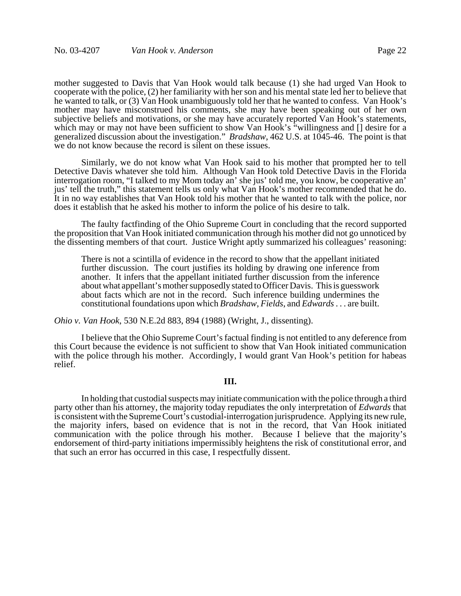mother suggested to Davis that Van Hook would talk because (1) she had urged Van Hook to cooperate with the police, (2) her familiarity with her son and his mental state led her to believe that he wanted to talk, or (3) Van Hook unambiguously told her that he wanted to confess. Van Hook's mother may have misconstrued his comments, she may have been speaking out of her own subjective beliefs and motivations, or she may have accurately reported Van Hook's statements, which may or may not have been sufficient to show Van Hook's "willingness and [] desire for a generalized discussion about the investigation." *Bradshaw*, 462 U.S. at 1045-46. The point is that we do not know because the record is silent on these issues.

Similarly, we do not know what Van Hook said to his mother that prompted her to tell Detective Davis whatever she told him. Although Van Hook told Detective Davis in the Florida interrogation room, "I talked to my Mom today an' she jus' told me, you know, be cooperative an' jus' tell the truth," this statement tells us only what Van Hook's mother recommended that he do. It in no way establishes that Van Hook told his mother that he wanted to talk with the police, nor does it establish that he asked his mother to inform the police of his desire to talk.

The faulty factfinding of the Ohio Supreme Court in concluding that the record supported the proposition that Van Hook initiated communication through his mother did not go unnoticed by the dissenting members of that court. Justice Wright aptly summarized his colleagues' reasoning:

There is not a scintilla of evidence in the record to show that the appellant initiated further discussion. The court justifies its holding by drawing one inference from another. It infers that the appellant initiated further discussion from the inference about what appellant's mother supposedly stated to Officer Davis. This is guesswork about facts which are not in the record. Such inference building undermines the constitutional foundations upon which *Bradshaw*, *Fields*, and *Edwards* . . . are built.

*Ohio v. Van Hook*, 530 N.E.2d 883, 894 (1988) (Wright, J., dissenting).

I believe that the Ohio Supreme Court's factual finding is not entitled to any deference from this Court because the evidence is not sufficient to show that Van Hook initiated communication with the police through his mother. Accordingly, I would grant Van Hook's petition for habeas relief.

### **III.**

In holding that custodial suspects may initiate communication with the police through a third party other than his attorney, the majority today repudiates the only interpretation of *Edwards* that is consistent with the Supreme Court's custodial-interrogation jurisprudence. Applying its new rule, the majority infers, based on evidence that is not in the record, that Van Hook initiated communication with the police through his mother. Because I believe that the majority's endorsement of third-party initiations impermissibly heightens the risk of constitutional error, and that such an error has occurred in this case, I respectfully dissent.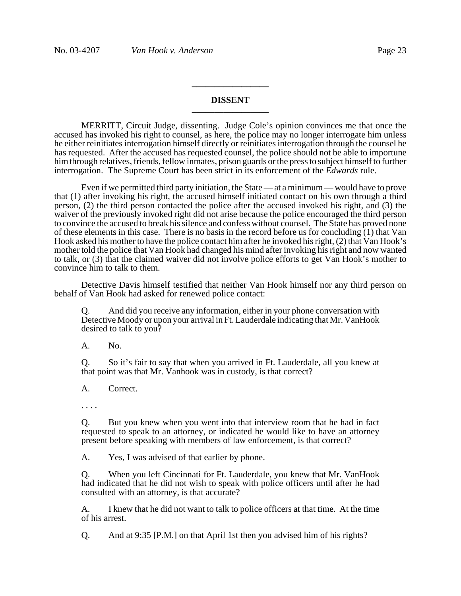## **DISSENT \_\_\_\_\_\_\_\_\_\_\_\_\_\_\_\_\_**

**\_\_\_\_\_\_\_\_\_\_\_\_\_\_\_\_\_**

MERRITT, Circuit Judge, dissenting. Judge Cole's opinion convinces me that once the accused has invoked his right to counsel, as here, the police may no longer interrogate him unless he either reinitiates interrogation himself directly or reinitiates interrogation through the counsel he has requested. After the accused has requested counsel, the police should not be able to importune him through relatives, friends, fellow inmates, prison guards or the press to subject himself to further interrogation. The Supreme Court has been strict in its enforcement of the *Edwards* rule.

Even if we permitted third party initiation, the State — at a minimum — would have to prove that (1) after invoking his right, the accused himself initiated contact on his own through a third person, (2) the third person contacted the police after the accused invoked his right, and (3) the waiver of the previously invoked right did not arise because the police encouraged the third person to convince the accused to break his silence and confess without counsel. The State has proved none of these elements in this case. There is no basis in the record before us for concluding (1) that Van Hook asked his mother to have the police contact him after he invoked his right, (2) that Van Hook's mother told the police that Van Hook had changed his mind after invoking his right and now wanted to talk, or (3) that the claimed waiver did not involve police efforts to get Van Hook's mother to convince him to talk to them.

Detective Davis himself testified that neither Van Hook himself nor any third person on behalf of Van Hook had asked for renewed police contact:

Q. And did you receive any information, either in your phone conversation with Detective Moody or upon your arrival in Ft. Lauderdale indicating that Mr. VanHook desired to talk to you?

A. No.

Q. So it's fair to say that when you arrived in Ft. Lauderdale, all you knew at that point was that Mr. Vanhook was in custody, is that correct?

A. Correct.

. . . .

Q. But you knew when you went into that interview room that he had in fact requested to speak to an attorney, or indicated he would like to have an attorney present before speaking with members of law enforcement, is that correct?

A. Yes, I was advised of that earlier by phone.

Q. When you left Cincinnati for Ft. Lauderdale, you knew that Mr. VanHook had indicated that he did not wish to speak with police officers until after he had consulted with an attorney, is that accurate?

A. I knew that he did not want to talk to police officers at that time. At the time of his arrest.

Q. And at 9:35 [P.M.] on that April 1st then you advised him of his rights?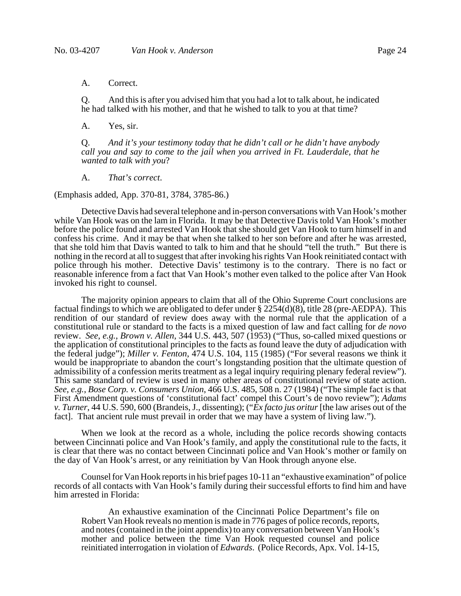### A. Correct.

Q. And this is after you advised him that you had a lot to talk about, he indicated he had talked with his mother, and that he wished to talk to you at that time?

A. Yes, sir.

Q. *And it's your testimony today that he didn't call or he didn't have anybody call you and say to come to the jail when you arrived in Ft. Lauderdale, that he wanted to talk with you*?

A. *That's correct*.

(Emphasis added, App. 370-81, 3784, 3785-86.)

Detective Davis had several telephone and in-person conversations with Van Hook's mother while Van Hook was on the lam in Florida. It may be that Detective Davis told Van Hook's mother before the police found and arrested Van Hook that she should get Van Hook to turn himself in and confess his crime. And it may be that when she talked to her son before and after he was arrested, that she told him that Davis wanted to talk to him and that he should "tell the truth." But there is nothing in the record at all to suggest that after invoking his rights Van Hook reinitiated contact with police through his mother. Detective Davis' testimony is to the contrary. There is no fact or reasonable inference from a fact that Van Hook's mother even talked to the police after Van Hook invoked his right to counsel.

The majority opinion appears to claim that all of the Ohio Supreme Court conclusions are factual findings to which we are obligated to defer under  $\S 2254(d)(8)$ , title 28 (pre-AEDPA). This rendition of our standard of review does away with the normal rule that the application of a constitutional rule or standard to the facts is a mixed question of law and fact calling for *de novo* review. *See*, *e.g.*, *Brown v. Allen*, 344 U.S. 443, 507 (1953) ("Thus, so-called mixed questions or the application of constitutional principles to the facts as found leave the duty of adjudication with the federal judge"); *Miller v. Fenton*, 474 U.S. 104, 115 (1985) ("For several reasons we think it would be inappropriate to abandon the court's longstanding position that the ultimate question of admissibility of a confession merits treatment as a legal inquiry requiring plenary federal review"). This same standard of review is used in many other areas of constitutional review of state action. *See*, *e.g.*, *Bose Corp. v. Consumers Union*, 466 U.S. 485, 508 n. 27 (1984) ("The simple fact is that First Amendment questions of 'constitutional fact' compel this Court's de novo review"); *Adams v. Turner*, 44 U.S. 590, 600 (Brandeis, J., dissenting); ("*Ex facto jus oritur* [the law arises out of the fact]. That ancient rule must prevail in order that we may have a system of living law.").

When we look at the record as a whole, including the police records showing contacts between Cincinnati police and Van Hook's family, and apply the constitutional rule to the facts, it is clear that there was no contact between Cincinnati police and Van Hook's mother or family on the day of Van Hook's arrest, or any reinitiation by Van Hook through anyone else.

Counsel for Van Hook reports in his brief pages 10-11 an "exhaustive examination" of police records of all contacts with Van Hook's family during their successful efforts to find him and have him arrested in Florida:

An exhaustive examination of the Cincinnati Police Department's file on Robert Van Hook reveals no mention is made in 776 pages of police records, reports, and notes (contained in the joint appendix) to any conversation between Van Hook's mother and police between the time Van Hook requested counsel and police reinitiated interrogation in violation of *Edwards*. (Police Records, Apx. Vol. 14-15,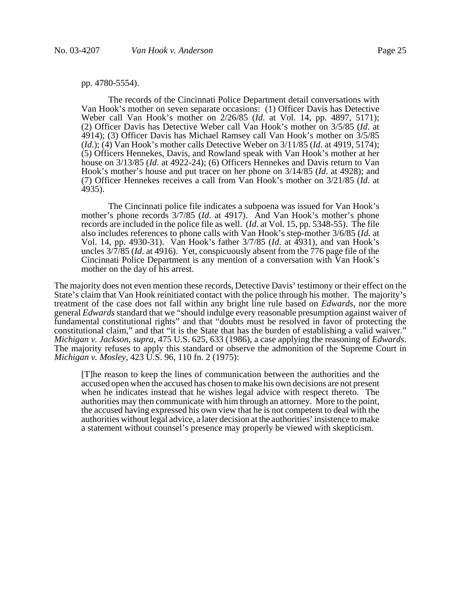### pp. 4780-5554).

The records of the Cincinnati Police Department detail conversations with Van Hook's mother on seven separate occasions: (1) Officer Davis has Detective Weber call Van Hook's mother on 2/26/85 (*Id*. at Vol. 14, pp. 4897, 5171); (2) Officer Davis has Detective Weber call Van Hook's mother on 3/5/85 (*Id*. at 4914); (3) Officer Davis has Michael Ramsey call Van Hook's mother on 3/5/85 (*Id*.); (4) Van Hook's mother calls Detective Weber on 3/11/85 (*Id*. at 4919, 5174); (5) Officers Hennekes, Davis, and Rowland speak with Van Hook's mother at her house on 3/13/85 (*Id*. at 4922-24); (6) Officers Hennekes and Davis return to Van Hook's mother's house and put tracer on her phone on 3/14/85 (*Id*. at 4928); and (7) Officer Hennekes receives a call from Van Hook's mother on 3/21/85 (*Id*. at 4935).

The Cincinnati police file indicates a subpoena was issued for Van Hook's mother's phone records 3/7/85 (*Id*. at 4917). And Van Hook's mother's phone records are included in the police file as well. (*Id*. at Vol. 15, pp. 5348-55). The file also includes references to phone calls with Van Hook's step-mother 3/6/85 (*Id*. at Vol. 14, pp. 4930-31). Van Hook's father 3/7/85 (*Id*. at 4931), and van Hook's uncles 3/7/85 (*Id*. at 4916). Yet, conspicuously absent from the 776 page file of the Cincinnati Police Department is any mention of a conversation with Van Hook's mother on the day of his arrest.

The majority does not even mention these records, Detective Davis' testimony or their effect on the State's claim that Van Hook reinitiated contact with the police through his mother. The majority's treatment of the case does not fall within any bright line rule based on *Edwards*, nor the more general *Edwards* standard that we "should indulge every reasonable presumption against waiver of fundamental constitutional rights" and that "doubts must be resolved in favor of protecting the constitutional claim," and that "it is the State that has the burden of establishing a valid waiver." *Michigan v. Jackson*, *supra*, 475 U.S. 625, 633 (1986), a case applying the reasoning of *Edwards*. The majority refuses to apply this standard or observe the admonition of the Supreme Court in *Michigan v. Mosley*, 423 U.S. 96, 110 fn. 2 (1975):

[T]he reason to keep the lines of communication between the authorities and the accused open when the accused has chosen to make his own decisions are not present when he indicates instead that he wishes legal advice with respect thereto. The authorities may then communicate with him through an attorney. More to the point, the accused having expressed his own view that he is not competent to deal with the authorities without legal advice, a later decision at the authorities' insistence to make a statement without counsel's presence may properly be viewed with skepticism.